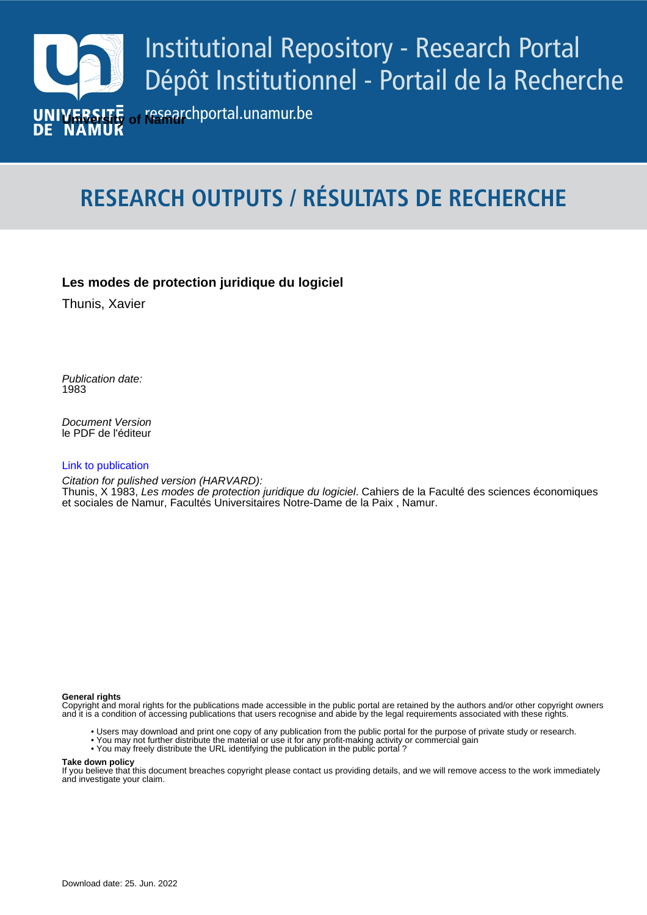

# **RESEARCH OUTPUTS / RÉSULTATS DE RECHERCHE**

# **Les modes de protection juridique du logiciel**

Thunis, Xavier

Publication date:<br><sup>1983</sup> 1983

> Document Version le PDF de l'éditeur

### [Link to publication](https://researchportal.unamur.be/fr/publications/839b1b64-50af-4f39-b0f9-c3d56c1c10cb)

**Publication date - Date de publication :** Citation for pulished version (HARVARD):

Thunis, X 1983, Les modes de protection juridique du logiciel. Cahiers de la Faculté des sciences économiques et sociales de Namur, Facultés Universitaires Notre-Dame de la Paix , Namur.

#### **General rights**

Copyright and moral rights for the publications made accessible in the public portal are retained by the authors and/or other copyright owners and it is a condition of accessing publications that users recognise and abide by the legal requirements associated with these rights.

- Users may download and print one copy of any publication from the public portal for the purpose of private study or research.
- You may not further distribute the material or use it for any profit-making activity or commercial gain
- You may freely distribute the URL identifying the publication in the public portal ?

#### **Take down policy**

If you believe that this document breaches copyright please contact us providing details, and we will remove access to the work immediately and investigate your claim.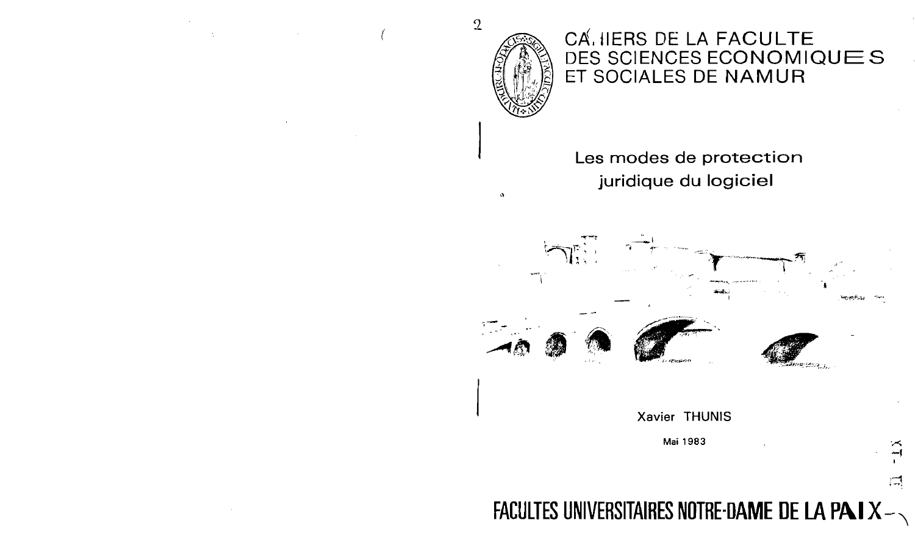

# CA. IIERS DE LA FACULTE DES SCIENCES ECONOMIQUES ET SOCIALES DE NAMUR

# Les modes de protection juridique du logiciel



# Xavier THUNIS

Mai 1983

# FACULTES UNIVERSITAIRES NOTRE-DAME DE LA PAIX-

Ľ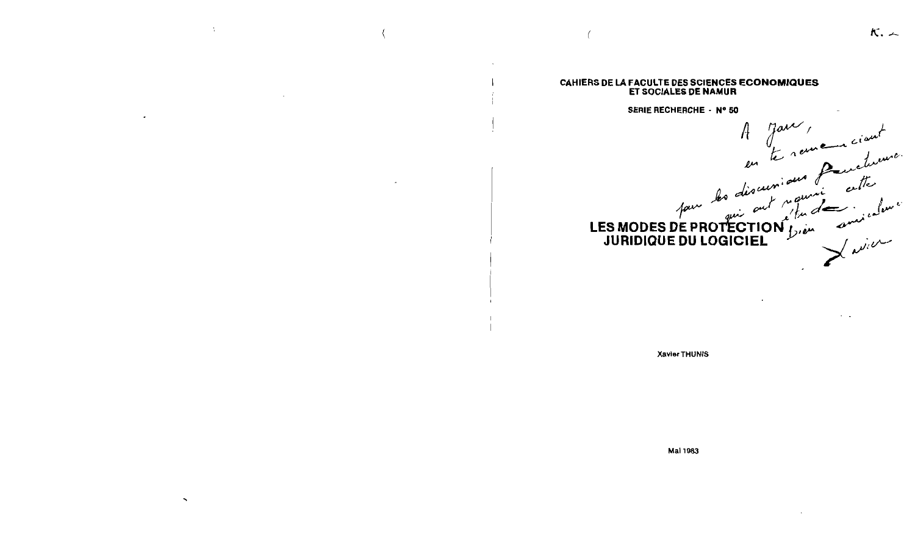$\kappa$ . $\sim$ 

#### CAHIERS DE LA FACULTE DES SCIENCES ECONOMIQUES **ET SOCIALES DE NAMUR**

#### SERIE RECHERCHE - N° 50

SERIE RECHERCHE. N° 50<br>A Jaur, en la remeure ciant<br>les discursions de centre cette

**Xavier THUNIS** 

Mai 1983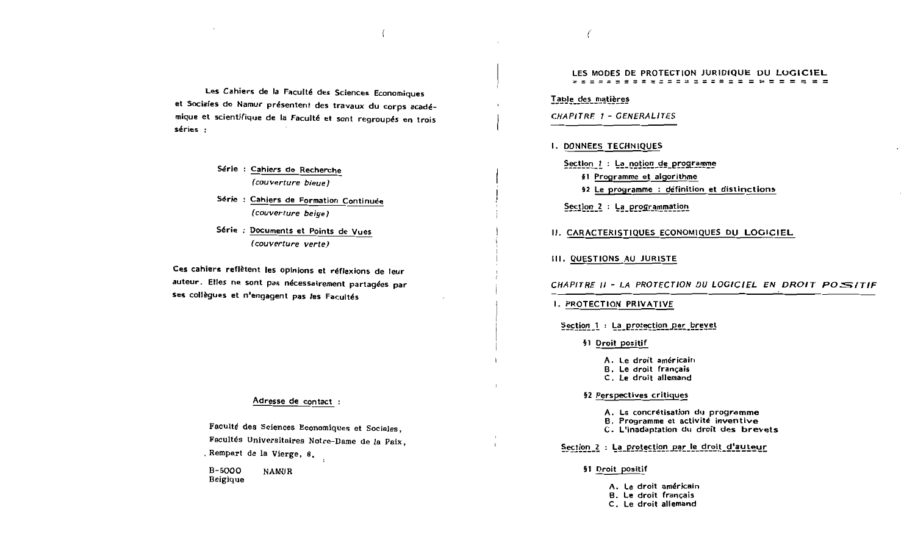Les Cahiers de la Faculté des Sciences Economiques et Sociales de Namur présentent des travaux du corps académique et scientifique de la Faculté et sont regroupés en trois séries :

- Série : Cahiers de Recherche (couverture bieue)
- Série : Cahiers de Formation Continuée (couverture beige)
- Série : Documents et Points de Vues (couverture verte)

Ces cahiers reflètent les opinions et réflexions de leur auteur. Elles ne sont pas nécessairement partagées par ses collègues et n'engagent pas les Facultés

#### Adresse de contact :

Faculté des Sciences Economiques et Sociales, Facultés Universitaires Notre-Dame de la Paix, Rempart de la Vierge, 8,

B-5000 **NAMUR** Belgique

#### LES MODES DE PROTECTION JURIDIQUE DU LOGICIEL

Table des matières

CHAPITRE 1 - GENERALITES

#### I. DONNEES TECHNIQUES

Section 1 : La notion de programme §1 Programme et algorithme

- 
- §2 Le programme : définition et distinctions

Section 2 : La programmation

II. CARACTERISTIQUES ECONOMIQUES DU LOGICIEL

III. QUESTIONS AU JURISTE

CHAPITRE II - LA PROTECTION DU LOGICIEL EN DROIT POSITIE

#### I. PROTECTION PRIVATIVE

Section 1 : La protection par brevet

§1 Droit positif

- A. Le droit américain
- B. Le droit français
- C. Le droit allemand

§2 Perspectives critiques

- A. La concrétisation du programme
- B. Programme et activité inventive
- C. L'inadaptation du droit des brevets

Section 2 : La protection par le droit d'auteur

#### §1 Droit positif

- A. Le droit américain
- **B.** Le droit français
- C. Le droit allemand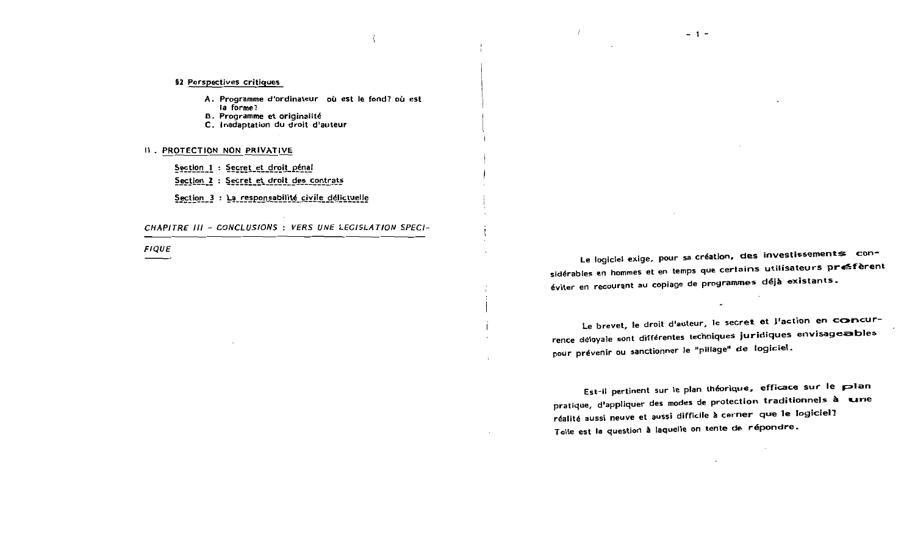#### §2 Perspectives critiques

- A. Programme d'ordinateur où est le fond? où est la forme?
- B. Programme et originalité
- C. Inadaptation du droit d'auteur

## II . PROTECTION NON PRIVATIVE

- Section 1 : Secret et droit pénal
- Section 2 : Secret et droit des contrats
- Section 3 : La responsabilité civile délictuelle

CHAPITRE III - CONCLUSIONS : VERS UNE LEGISLATION SPECI-

**FIQUE** 

Le logiciel exige, pour sa création, des investissements considérables en hommes et en temps que certains utilisateurs préfèrent éviter en recourant au copiage de programmes déjà existants.

 $-1-$ 

Le brevet, le droit d'auteur, le secret et J'action en concurrence déloyale sont différentes techniques juridiques envisageables pour prévenir ou sanctionner le "pillage" de logiciel.

 $\mathcal{L}^{\pm}$ 

Est-il pertinent sur le plan théorique, efficace sur le plan pratique, d'appliquer des modes de protection traditionnels à une réalité aussi neuve et aussi difficile à cerner que le logiciel? Telle est la question à laquelle on tente de répondre.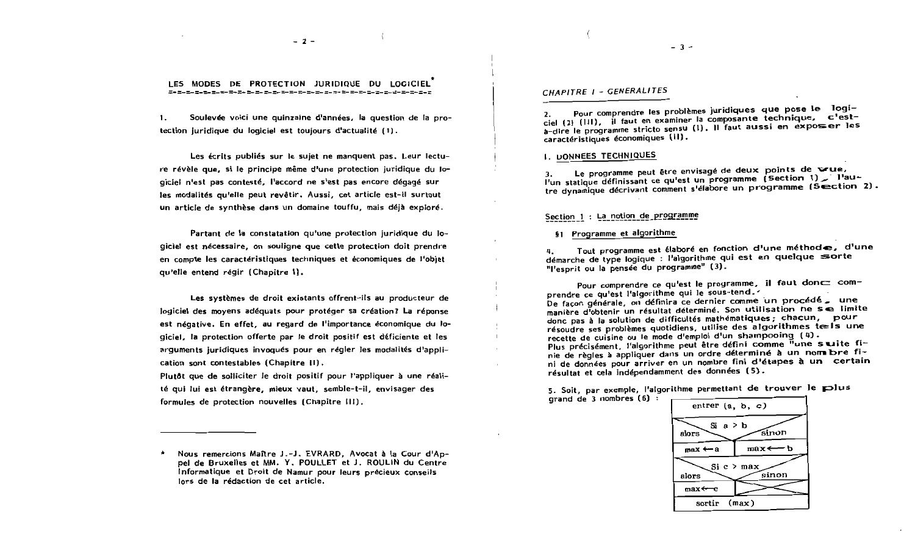$-2-$ 

LES MODES DE PROTECTION JURIDIQUE DU LOGICIEL 

 $\mathbf{1}$ . Soulevée voici une quinzaine d'années, la question de la protection juridique du logiciel est toujours d'actualité (1).

Les écrits publiés sur le sujet ne manquent pas. Leur lecture révèle que, si le principe même d'une protection juridique du logiciel n'est pas contesté, l'accord ne s'est pas encore dégagé sur les modalités qu'elle peut revêtir. Aussi, cet article est-il surtout un article de synthèse dans un domaine touffu, mais déjà exploré.

Partant de la constatation qu'une protection juridique du logiciel est nécessaire, on souligne que cette protection doit prendre en compte les caractéristiques techniques et économiques de l'objet qu'elle entend régir (Chapitre I).

Les systèmes de droit existants offrent-ils au producteur de logiciel des moyens adéquats pour protéger sa création? La réponse est négative. En effet, au regard de l'importance économique du logiciel, la protection offerte par le droit positif est déficiente et les arguments juridiques invoqués pour en régler les modalités d'application sont contestables (Chapitre II).

Plutôt que de solliciter le droit positif pour l'appliquer à une réalité qui lui est étrangère, mieux vaut, semble-t-il, envisager des formules de protection nouvelles (Chapitre III).

Nous remercions Maître J.-J. EVRARD, Avocat à la Cour d'Appel de Bruxelles et MM. Y. POULLET et J. ROULIN du Centre Informatique et Droit de Namur pour leurs précieux conseils lors de la rédaction de cet article.

CHAPITRE I - GENERALITES

Pour comprendre les problèmes juridiques que pose le logiciel (2) (111), il faut en examiner la composante technique, c'esta-dire le programme stricto sensu (1). Il faut aussi en exposser les caractéristiques économiques (II).

**L. DONNEES TECHNIQUES** 

Le programme peut être envisagé de deux points de vue, l'un statique définissant ce qu'est un programme (Section 1) \_ l'au-3. tre dynamique décrivant comment s'élabore un programme (Section 2).

## Section 1 : La notion de programme

§1 Programme et algorithme

Tout programme est élaboré en fonction d'une méthode, d'une 4. démarche de type logique : l'algorithme qui est en quelque sorte "l'esprit ou la pensée du programme" (3).

Pour comprendre ce qu'est le programme, il faut donc comprendre ce qu'est l'algorithme qui le sous-tend. De façon générale, on définira ce dernier comme un procédé , une manière d'obtenir un résultat déterminé. Son utilisation ne se limite donc pas à la solution de difficultés mathématiques ; chacun, pour résoudre ses problèmes quotidiens, utilise des algorithmes tels une recette de cuisine ou le mode d'emploi d'un shampooing (4). Plus précisément, l'algorithme peut être défini comme "une suite finie de règles à appliquer dans un ordre déterminé à un nom bre fini de données pour arriver en un nombre fini d'étapes à un certain résultat et cela indépendamment des données (5).

5. Soit, par exemple, l'algorithme permettant de trouver le plus grand de 3 nombres (6) :



 $-3-$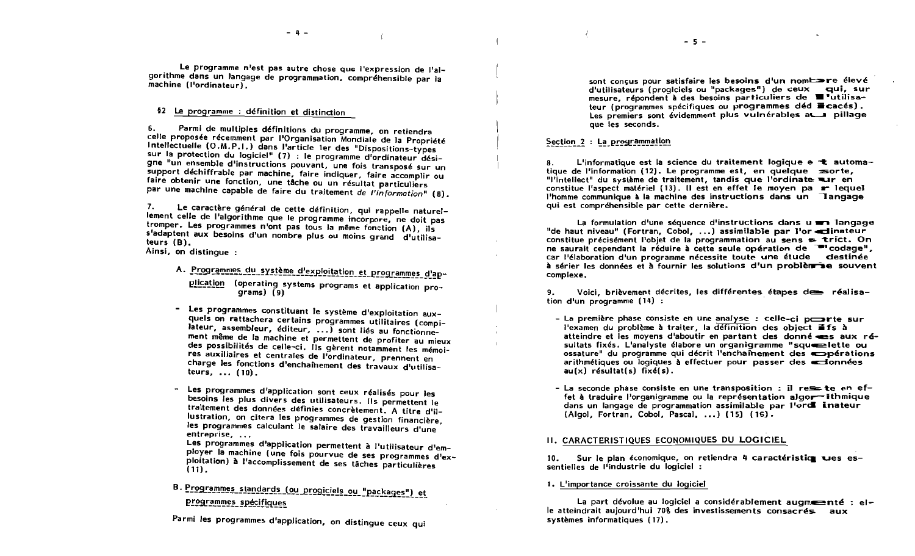$-5 -$ 

Le programme n'est pas autre chose que l'expression de l'algorithme dans un langage de programmation, compréhensible par la machine (l'ordinateur).

§2 Le programme : définition et distinction

Parmi de multiples définitions du programme, on retiendra 6. celle proposée récemment par l'Organisation Mondiale de la Propriété Intellectuelle (O.M.P.I.) dans l'article 1er des "Dispositions-types sur la protection du logiciel" (7) : le programme d'ordinateur désigne "un ensemble d'instructions pouvant, une fois transposé sur un support déchiffrable par machine, faire indiquer, faire accomplir ou faire obtenir une fonction, une tâche ou un résultat particuliers par une machine capable de faire du traitement de l'information" (8).

Le caractère général de cette définition, qui rappelle naturel- $7<sup>1</sup>$ lement celle de l'algorithme que le programme incorpore, ne doit pas tromper. Les programmes n'ont pas tous la même fonction (A), ils s'adaptent aux besoins d'un nombre plus ou moins grand d'utilisateurs  $(B)$ . Ainsi, on distingue:

- A. Programmes du système d'exploitation et programmes d'application (operating systems programs et application proarams) (9)
- Les programmes constituant le système d'exploitation auxquels on rattachera certains programmes utilitaires (compilateur, assembleur, éditeur, ...) sont liés au fonctionnement même de la machine et permettent de profiter au mieux des possibilités de celle-ci. Ils gèrent notamment les mémoires auxiliaires et centrales de l'ordinateur, prennent en charge les fonctions d'enchaînement des travaux d'utilisateurs,  $\ldots$  (10).
- Les programmes d'application sont ceux réalisés pour les besoins les plus divers des utilisateurs. Ils permettent le traitement des données définies concrètement. A titre d'illustration, on citera les programmes de gestion financière, les programmes calculant le salaire des travailleurs d'une entreprise, ...

Les programmes d'application permettent à l'utilisateur d'employer la machine (une fois pourvue de ses programmes d'exploitation) à l'accomplissement de ses tâches particulières  $(11)$ .

B. Programmes standards (ou progiciels ou "packages") et programmes spécifiques

Parmi les programmes d'application, on distingue ceux qui

sont concus pour satisfaire les besoins d'un nomt re élevé d'utilisateurs (progiciels ou "packages") de ceux qui, sur mesure, répondent à des besoins particuliers de  $\blacksquare$  utilisateur (programmes spécifiques ou programmes déd la cacés). Les premiers sont évidemment plus vulnérables at a pillage que les seconds.

#### Section 2 : La programmation

L'informatique est la science du traitement logique e t automa-Я. tique de l'information (12). Le programme est, en quelque  $\equiv$ orte. "l'intellect" du système de traitement, tandis que l'ordinate ur en constitue l'aspect matériel (13). Il est en effet le moyen pa r lequel l'homme communique à la machine des instructions dans un Iangage qui est compréhensible par cette dernière.

La formulation d'une séquence d'instructions dans u man langage "de haut niveau" (Fortran, Cobol, ...) assimilable par l'or edinateur constitue précisément l'objet de la programmation au sens  $\leq$  trict. On ne saurait cependant la réduire à cette seule opération de <sup>en</sup>codage". car l'élaboration d'un programme nécessite toute une étude destinée  $\lambda$  sérier les données et  $\lambda$  fournir les solutions d'un problème souvent complexe.

9. Voici, brièvement décrites, les différentes étapes de réalisation d'un programme (14) :

- La première phase consiste en une analyse : celle-ci poste sur l'examen du problème à traiter, la définition des object ifs à atteindre et les moyens d'aboutir en partant des donné es aux résultats fixés. L'analyste élabore un organigramme "squeenlette ou ossature" du programme qui décrit l'enchainement des conérations arithmétiques ou logiques à effectuer pour passer des econnées  $au(x)$  résultat(s)  $fixé(s)$ .
- La seconde phase consiste en une transposition : il reste en effet à traduire l'organigramme ou la représentation algor fithmique dans un langage de programmation assimilable par l'ord inateur (Algol. Fortran. Cobol. Pascal. ...) (15) (16).

#### II. CARACTERISTIQUES ECONOMIQUES DU LOGICIEL

Sur le plan économique, on retiendra 4 caractéristic ues es- $10<sub>1</sub>$ sentielles de l'industrie du logiciel :

#### 1. L'importance croissante du logiciel

La part dévolue au logiciel a considérablement augmestrie : elle atteindrait aujourd'hui 70% des investissements consacrés aux systèmes informatiques (17).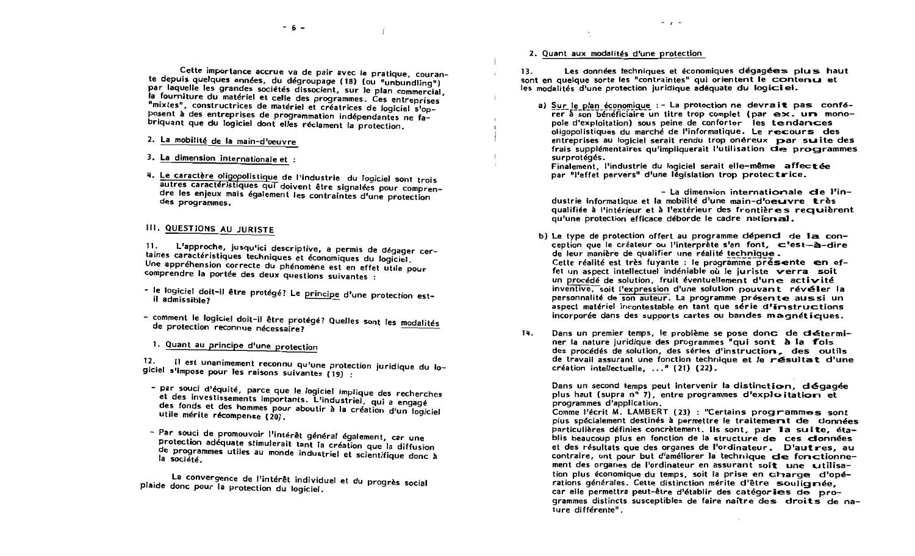Cette importance accrue va de pair avec la pratique, courante depuis quelques années, du dégroupage (18) (ou "unbundling") par laquelle les grandes sociétés dissocient, sur le plan commercial, la fourniture du matériel et celle des programmes. Ces entreprises "mixtes", constructrices de matériel et créatrices de logiciel s'opposent à des entreprises de programmation indépendantes ne fabriquant que du logiciel dont elles réclament la protection.

- 2. La mobilité de la main-d'oeuvre
- 3. La dimension internationale et :
- 4. Le caractère oligopolistique de l'industrie du logiciel sont trois autres caractéristiques qui doivent être signalées pour comprendre les enieux mais également les contraintes d'une protection des programmes.

## III. QUESTIONS AU JURISTE

L'approche, jusqu'ici descriptive, a permis de dégager cer- $11.$ taines caractéristiques techniques et économiques du logiciel. Une appréhension correcte du phénomène est en effet utile pour comprendre la portée des deux questions suivantes :

- le logiciel doit-il être protégé? Le principe d'une protection estil admissible?
- comment le logiciel doit-il être protégé? Quelles sont les modalités de protection reconnue nécessaire?
	- 1. Quant au principe d'une protection

Il est unanimement reconnu qu'une protection juridique du lo-12. giciel s'impose pour les raisons suivantes (19) :

- par souci d'équité, parce que le logiciel implique des recherches et des investissements importants. L'industriel, qui a engagé des fonds et des hommes pour aboutir à la création d'un logiciel utile mérite récompense (20).
- Par souci de promouvoir l'intérêt général également, car une protection adéquate stimulerait tant la création que la diffusion de programmes utiles au monde industriel et scientifique donc à la société.

La convergence de l'intérêt individuel et du progrès social plaide donc pour la protection du logiciel.

#### 2. Quant aux modalités d'une protection

Les données techniques et économiques dégagées plus haut  $13.$ sont en quelque sorte les "contraintes" qui orientent le contenu et les modalités d'une protection juridique adéquate du logiciel.

a) Sur le plan économique :- La protection ne devrait pas confé $r = r^2$  son beneficiaire un titre trop complet (par  $ex$ ,  $ur$  monopole d'exploitation) sous peine de conforter les tendances oligopolistiques du marché de l'informatique. Le recours des entreprises au logiciel serait rendu trop onéreux par suite des frais supplémentaires qu'impliquerait l'utilisation de programmes surprotégés.

Finalement, l'industrie du logiciel serait elle-même affectée par "l'effet pervers" d'une législation trop protectrice.

- La dimension internatioriale de l'industrie informatique et la mobilité d'une main-d'oeuvre très qualifiée à l'intérieur et à l'extérieur des frontières requièrent qu'une protection efficace déborde le cadre national.

- b) Le type de protection offert au programme dépend de la conception que le créateur ou l'interprète s'en font. ⊂'est-à-dire de leur manière de qualifier une réalité technique. Cette réalité est très fuvante : le programme présente en effet un aspect intellectuel indéniable où le juriste verra soit un procédé de solution, fruit éventuellement d'une activité inventive, soit l'expression d'une solution pouvant révéler la personnalité de son auteur. La programme présente aussi un aspect matériel incontestable en tant que série d'iristructions incorporée dans des supports cartes ou bandes magnétiques.
- Dans un premier temps, le problème se pose donc de détermi- $14.$ ner la nature juridique des programmes "qui sont à la fois des procédés de solution, des séries d'instruction, des outils de travail assurant une fonction technique et le résultat d'une création intellectuelle. ..." (21) (22).

Dans un second temps peut intervenir la distinction, dégagée plus haut (supra nº 7), entre programmes d'exploitation et programmes d'application.

Comme l'écrit M. LAMBERT (23) : "Certains programmes sont plus spécialement destinés à permettre le traitement de données particulières définies concrètement. Ils sont, par la suite, établis beaucoup plus en fonction de la structure de ces données et des résultats que des organes de l'ordinateur. D'autres, au contraire, ont pour but d'améliorer la technique de fonctionnement des organes de l'ordinateur en assurant soit une utilisation plus économique du temps, soit la prise en charge d'opérations générales. Cette distinction mérite d'être soulignée, car elle permettra peut-être d'établir des catégories de programmes distincts susceptibles de faire naître des droits de nature différente".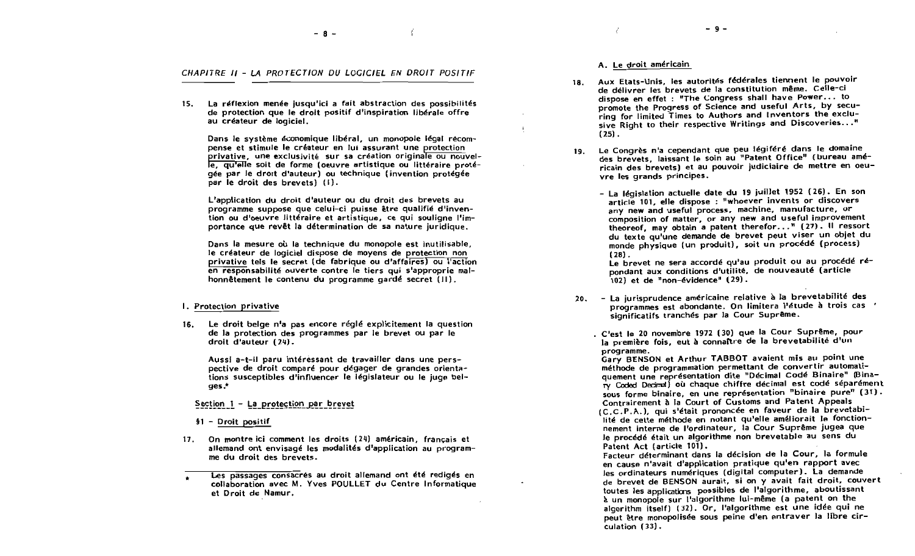- 8 -

- 9 -

CHAPITRE II - LA PROTECTION DU LOGICIEL EN DROIT POSITIF

15. La réflexion menée jusqu'ici a fait abstraction des possibilités de protection que le droit positif d'inspiration libérale offre au créateur de logiciel.

Dans le système économique libéral, un monopole légal récompense et stimule le créateur en lui assurant une protection privative, une exclusivité sur sa création originale ou nouvelle, qu'elle soit de forme (oeuvre artistique ou littéraire protégée par le droit d'auteur) ou technique (invention protégée par le droit des brevets) (i).

L'application du droit d'auteur ou du droit des brevets au programme suppose que celui-ci puisse être qualifié d'invention ou d'oeuvre littéraire et artistique, ce qui souligne l'importance que revêt la détermination de sa nature juridique.

Dans la mesure où la technique du monopole est inutilisable. le créateur de logiciel dispose de movens de protection non privative tels le secret (de fabrique ou d'affaires) ou l'action en responsabilité ouverte contre le tiers qui s'approprie malhonnêtement le contenu du programme gardé secret (III).

#### I. Protection privative

16. Le droit belge n'a pas encore réglé explicitement la question de la protection des programmes par le brevet ou par le  $d$ roit  $d'$ auteur  $(24)$ .

Aussi a-t-il paru intéressant de travailler dans une perspective de droit comparé pour dégager de grandes orientations susceptibles d'influencer le législateur ou le juge bel $ges.*$ 

Section 1 - La protection par brevet

17. On montre ici comment les droits (24) américain, français et allemand ont envisagé les modalités d'application au programme du droit des brevets.

#### A. Le droit américain

١

- Aux Etats-Unis, les autorités fédérales tiennent le pouvoir  $18.$ de délivrer les brevets de la constitution même. Celle-ci dispose en effet : "The Congress shall have Power... to promote the Progress of Science and useful Arts, by securing for limited Times to Authors and Inventors the exclusive Right to their respective Writings and Discoveries..."  $(25)$ .
- Le Congrès n'a cependant que peu légiféré dans le domaine  $19.$ des brevets, laissant le soin au "Patent Office" (bureau américain des brevets) et au pouvoir judiciaire de mettre en oeuvre les grands principes.
	- La législation actuelle date du 19 juillet 1952 (26). En son article 101, elle dispose : "whoever invents or discovers any new and useful process, machine, manufacture, or composition of matter, or any new and useful improvement theoreof, may obtain a patent therefor..." (27). Il ressort du texte qu'une demande de brevet peut viser un obiet du monde physique (un produit), soit un procédé (process)  $(28)$ .

Le brevet ne sera accordé qu'au produit ou au procédé répondant aux conditions d'utilité, de nouveauté (article 102) et de "non-évidence" (29).

- 20. La jurisprudence américaine relative à la brevetabilité des programmes est abondante. On limitera l'étude à trois cas ' significatifs tranchés par la Cour Suprême.
	- . C'est le 20 novembre 1972 (30) que la Cour Suprême, pour la première fois, eut à connaître de la brevetabilité d'un programme.

Gary BENSON et Arthur TABBOT avaient mis au point une méthode de programmation permettant de convertir automatiquement une représentation dite "Décimal Codé Binaire" (Binary Coded Decimal) où chaque chiffre décimal est codé séparément sous forme binaire, en une représentation "binaire pure" (31). Contrairement à la Court of Customs and Patent Appeals

(C.C.P.A.), qui s'était prononcée en faveur de la brevetabilité de cette méthode en notant qu'elle améliorait le fonctionnement interne de l'ordinateur, la Cour Suprême jugea que le procédé était un algorithme non brevetable au sens du Patent Act (article 101).

Facteur déterminant dans la décision de la Cour, la formule en cause n'avait d'application pratique qu'en rapport avec les ordinateurs numériques (digital computer). La demande de brevet de BENSON aurait, si on y avait fait droit, couvert toutes les applications possibles de l'algorithme, aboutissant à un monopole sur l'algorithme lui-même (a patent on the algorithm itself) (32). Or, l'algorithme est une idée qui ne peut être monopolisée sous peine d'en entraver la libre cir-.<br>culation (33).

 $$1 - D$ roit positif

Les passages consacrés au droit allemand ont été redigés en collaboration avec M. Yves POULLET du Centre Informatique et Droit de Namur.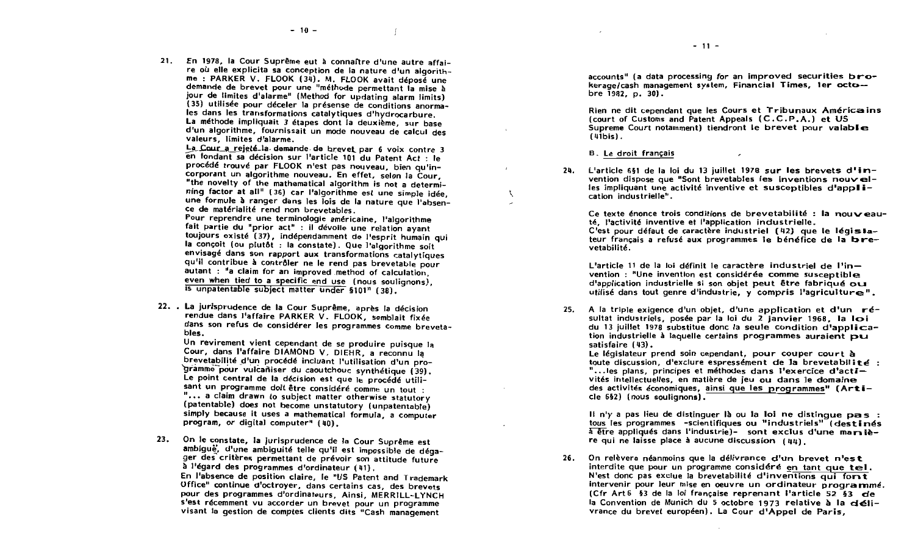21. En 1978, la Cour Suprême eut à connaître d'une autre affaire où elle explicita sa conception de la nature d'un algorithme : PARKER V. FLOOK (34). M. FLOOK avait déposé une demande de brevet pour une "méthode permettant la mise à jour de limites d'alarme" (Method for updating alarm limits) (35) utilisée pour déceler la présense de conditions anormales dans les transformations catalytiques d'hydrocarbure. La méthode impliquait 3 étapes dont la deuxième, sur base d'un algorithme, fournissait un mode nouveau de calcul des valeurs. limites d'alarme.

La Cour a rejeté la demande de brevet par 6 voix contre 3 en fondant sa décision sur l'article 101 du Patent Act : le procédé trouvé par FLOOK n'est pas nouveau, bien qu'incorporant un algorithme nouveau. En effet, selon la Cour, "the novelty of the mathematical algorithm is not a determining factor at all" (36) car l'algorithme est une simple idée. une formule à ranger dans les lois de la nature que l'absence de matérialité rend non brevetables.

Pour reprendre une terminologie américaine, l'algorithme fait partie du "prior act" : il dévoile une relation ayant toujours existé (37), indépendamment de l'esprit humain qui la concoit (ou plutôt : la constate). Que l'algorithme soit envisagé dans son rapport aux transformations catalytiques qu'il contribue à contrôler ne le rend pas brevetable pour autant : "a claim for an improved method of calculation, even when tied to a specific end use (nous soulignons). is unpatentable subject matter under §101" (38).

22. . La jurisprudence de la Cour Suprême, après la décision rendue dans l'affaire PARKER V. FLOOK, semblait fixée dans son refus de considérer les programmes comme brevetables.

Un revirement vient cependant de se produire puisque la Cour, dans l'affaire DIAMOND V. DIEHR, a reconnu la brevetabilité d'un procédé incluant l'utilisation d'un prodramme pour vulcañiser du caoutchouc synthétique (39). Le point central de la décision est que le procédé utilisant un programme doit être considéré comme un tout : "... a claim drawn to subject matter otherwise statutory (patentable) does not become unstatutory (unpatentable) simply because it uses a mathematical formula, a computer program, or digital computer" (40).

On le constate, la jurisprudence de la Cour Suprême est  $23.$ ambigue, d'une ambiguité telle qu'il est impossible de dégager des critères permettant de prévoir son attitude future à l'égard des programmes d'ordinateur (41). En l'absence de position claire, le "US Patent and Trademark Office" continue d'octroyer, dans certains cas, des brevets pour des programmes d'ordinateurs, Ainsi, MERRILL-LYNCH s'est récemment vu accorder un brevet pour un programme visant la gestion de comptes clients dits "Cash management

accounts" (a data processing for an improved securities brokerage/cash management system, Financial Times, 1er octobre  $1982, p. 30$ .

Rien ne dit cependant que les Cours et Tribunaux Américains (court of Customs and Patent Appeals (C.C.P.A.) et US Supreme Court notamment) tiendront le brevet pour valable  $(41bis)$ .

B. Le droit français

f.

 $24.$  L'article 651 de la loi du 13 juillet 1978 sur les brevets d'invention dispose que "Sont brevetables les inventions nouvelles impliquant une activité inventive et susceptibles d'application industrielle".

Ce texte énonce trois conditions de brevetabilité : la nouveauté, l'activité inventive et l'application industrielle.

C'est pour défaut de caractère industriel (42) que le législateur français a refusé aux programmes le bénéfice de la brevetabilité.

L'article 11 de la loi définit le caractère industriel de l'invention : "Une invention est considérée comme susceptible d'application industrielle si son objet peut être fabriqué ou utilisé dans tout genre d'industrie. v compris l'agriculture".

25. A la triple exigence d'un objet, d'une application et d'un résultat industriels, posée par la loi du 2 janvier 1968. la loi du 13 juillet 1978 substitue donc la seule condition d'application industrielle à laquelle certains programmes auraient pu satisfaire (43).

Le législateur prend soin cependant, pour couper court à toute discussion, d'exclure espressément de la brevetabilité : "...les plans, principes et méthodes dans l'exercice d'activités intellectuelles, en matière de jeu ou dans le domaine des activités économiques, ainsi que les programmes" (Article 6§2) (nous soulignons).

If n'y a pas lieu de distinguer là ou la loi ne distingue pas : tous les programmes -scientifiques ou "industriels" (destinés a être appliqués dans l'industrie)- sont exclus d'une manière qui ne laisse place à aucune discussion  $(44)$ .

 $26.$ On relèvera néanmoins que la délivrance d'un brevet n'est interdite que pour un programme considéré en tant que tel. N'est donc pas exclue la brevetabilité d'inventions qui fort intervenir pour leur mise en oeuvre un ordinateur programmé. (Cfr Art 6 53 de la loi française reprenant l'article 52 53 de la Convention de Munich du 5 octobre 1973 relative à la clélivrance du brevet européen). La Cour d'Appel de Paris.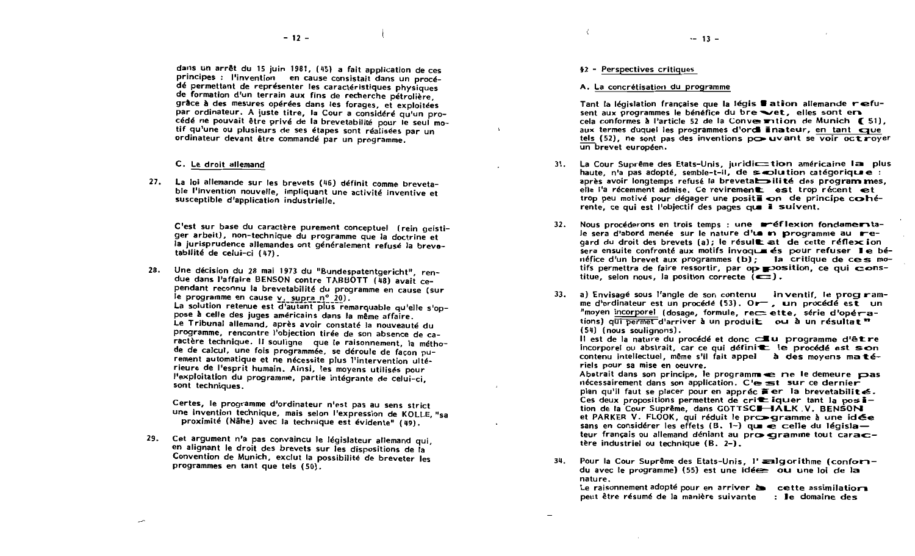dans un arrêt du 15 juin 1981, (45) a fait application de ces principes : l'invention en cause consistait dans un procédé permettant de représenter les caractéristiques physiques de formation d'un terrain aux fins de recherche pétrolière. grâce à des mesures opérées dans les forages, et exploitées par ordinateur. A juste titre, la Cour a considéré qu'un procédé ne pouvait être privé de la brevetabilité pour le seul motif qu'une ou plusieurs de ses étapes sont réalisées par un ordinateur devant être commandé par un programme.

#### C. Le droit allemand

27. La loi allemande sur les brevets (46) définit comme brevetable l'invention nouvelle, impliquant une activité inventive et susceptible d'application industrielle.

C'est sur base du caractère purement conceptuel (rein geistiger arbeit), non-technique du programme que la doctrine et la jurisprudence allemandes ont généralement refusé la brevetabilité de celui-ci (47).

28. Une décision du 28 mai 1973 du "Bundespatentgericht", rendue dans l'affaire BENSON contre TABBOTT (48) avait cependant reconnu la brevetabilité du programme en cause (sur le programme en cause v. supra nº 20). La solution retenue est d'autant plus remarquable qu'elle s'oppose à celle des juges américains dans la même affaire.

Le Tribunal allemand, après avoir constaté la nouveauté du programme, rencontre l'objection tirée de son absence de caractère technique. Il soulique que le raisonnement, la méthode de calcul, une fois programmée, se déroule de facon purement automatique et ne nécessite plus l'intervention ultérieure de l'esprit humain. Ainsi, les moyens utilisés pour l'exploitation du programme, partie intégrante de celui-ci. sont techniques.

Certes, le programme d'ordinateur n'est pas au sens strict une invention technique, mais selon l'expression de KOLLE. "sa proximité (Nähe) avec la technique est évidente" (49).

29. Cet argument n'a pas convaincu le législateur allemand qui. en alignant le droit des brevets sur les dispositions de la Convention de Munich, exclut la possibilité de breveter les programmes en tant que tels (50).

#### §2 - Perspectives critiques

#### A. La concrétisation du programme

Tant la législation française que la légis # ation allemande refusent aux programmes le bénéfice du bre vet, elles sont en cela conformes à l'article 52 de la Conve mition de Munich (51), aux termes duquel les programmes d'orde linateur, en tant que tels (52), ne sont pas des inventions po uvant se voir octroyer un brevet européen.

 $-13 -$ 

- La Cour Suprême des Etats-Unis, juridiction américaine la plus  $31.$ haute, n'a pas adopté, semble-t-il, de seroluition catégorique : après avoir longtemps refusé la brevetabilité des programmes, elle l'a récemment admise. Ce revirement est trop récent et trop peu motivé pour dégager une positi on de principe cohérente, ce qui est l'objectif des pages que i suivent.
- Nous procéderons en trois temps : une metellexion fondame ta- $32.$ le sera d'abord menée sur le nature d'un m programme au regard du droit des brevets (a); le résult at de cette réflexion sera ensuite confronté aux motifs invoque és pour refuser le bénéfice d'un brevet aux programmes (b) ; la critique de ces motifs permettra de faire ressortir, par op position, ce qui constitue, selon nous, la position correcte  $(\overline{\bullet}$ ).
- a) Envisagé sous l'angle de son contenu inventif, le program- $33.$ me d'ordinateur est un procédé (53). Or =, un procédé est un "moyen incorporel (dosage, formule, rec= ette, série d'opérations) qui permet d'arriver à un produit ou à un résultat " (54) (nous soulianons).

Il est de la nature du procédé et donc cultu programme d'être incorporel ou abstrait, car ce qui définit le procédé est son contenu intellectuel, même s'il fait appel à des moyens matériels pour sa mise en oeuvre.

Abstrait dans son principe. le programme e rie le demeure pas nécessairement dans son application. C'esst sur ce dernier plan qu'il faut se placer pour en appréc  $\tilde{=}$  er la brevetabilité. Ces deux propositions permettent de crit iquer tant la position de la Cour Suprême, dans GOTTSCI-JALK V. BENSON et PARKER V. FLOOK, qui réduit le promegramme à une idée sans en considérer les effets (B. 1-) que  $\overline{e}$  celle du législa teur français ou allemand déniant au prox caramme tout caractère industriel ou technique (B. 2-).

Pour la Cour Suprême des Etats-Unis, l'analgorithme (conforn- $34.$ du avec le programme) (55) est une idée ou une loi de la nature.

Le raisonnement adopté pour en arriver à cette assimilatiors peut être résumé de la manière suivante : le domaine des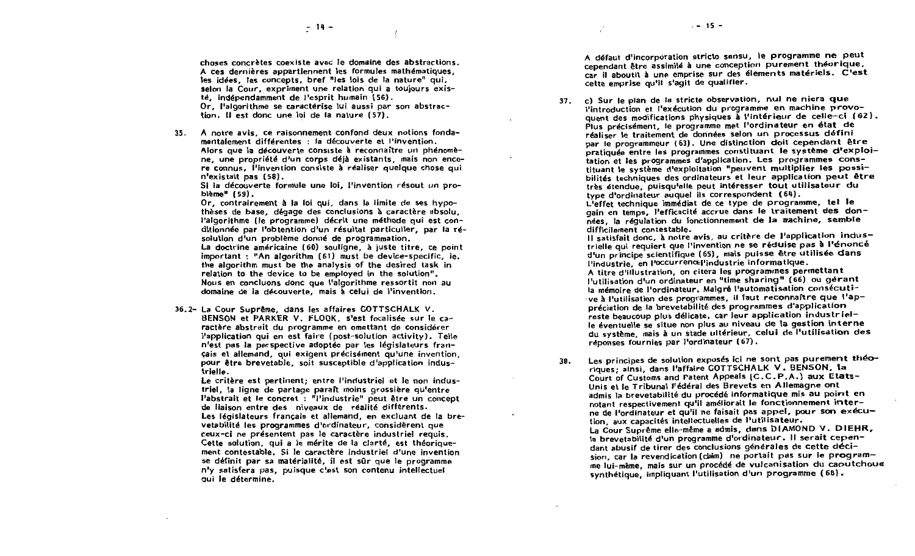choses concrètes coexiste avec le domaine des abstractions. A ces dernières appartiennent les formules mathématiques. les idées. les concepts, bref "les lois de la nature" qui, selon la Cour, expriment une relation qui a toujours existé, indépendamment de l'esprit humain (56). Or, l'algorithme se caractérise lui aussi par son abstrac-

tion. Il est donc une loi de la nature (57).

A notre avis, ce raisonnement confond deux notions fonda- $35.$ mentalement différentes : la découverte et l'invention. Alors que la découverte consiste à reconnaître un phénomène, une propriété d'un corps délà existants, mais non encore connus. l'invention consiste à réaliser quelque chose qui n'existait pas (58).

Si la découverte formule une loi, l'invention résout un problème" (59).

Or, contrairement à la loi qui, dans la limite de ses hypothèses de base, dégage des conclusions à caractère absolu. l'algorithme (le programme) décrit une méthode qui est conditionnée par l'obtention d'un résultat particulier, par la résolution d'un problème donné de programmation.

La doctrine américaine (60) souligne, à juste titre, ce point important: "An algorithm (61) must be device-specific, ie. the algorithm must be the analysis of the desired task in relation to the device to be employed in the solution". Nous en concluons donc que l'algorithme ressortit non au domaine de la découverte. mais à celui de l'invention.

36.2- La Cour Suprême, dans les affaires GOTTSCHALK V. BENSON et PARKER V. FLOOK, s'est focalisée sur le caractère abstrait du programme en omettant de considérer l'application qui en est faire (post-solution activity). Telle n'est pas la perspective adoptée par les législateurs français et allemand, qui exigent précisément qu'une invention, pour être brevetable, soit susceptible d'application industrielle.

Le critère est pertinent: entre l'industriel et le non industriel. la ligne de partage paraît moins grossière qu'entre l'abstrait et le concret : "l'industrie" peut être un concept de liaison entre des niveaux de réalité différents. Les législateurs français et allemand, en excluant de la brevetabilité les programmes d'ordinateur, considèrent que ceux-ci ne présentent pas le caractère industriel requis. Cette solution, qui a le mérite de la clarté, est théoriquement contestable. Si le caractère industriel d'une invention se définit par sa matérialité, il est sûr que le programme n'y satisfera pas, puisque c'est son contenu intellectuel qui le détermine.

A défaut d'incorporation stricto sensu, le programme ne peut cependant être assimilé à une conception purement théorique, car il aboutit à une emprise sur des élements matériels. C'est cette emprise qu'il s'agit de qualifier.

c) Sur le plan de la stricte observation, nul ne niera que  $37.$ l'introduction et l'exécution du programme en machine provoquent des modifications physiques à l'intérieur de celle-ci (62). Plus précisément, le programme met l'ordinateur en état de réaliser le traitement de données selon un processus défini par le programmeur (63). Une distinction doit cependant être pratiquée entre les programmes constituant le système d'exploitation et les programmes d'application. Les programmes constituant le système d'exploitation "peuvent multiplier les possibilités techniques des ordinateurs et leur application peut être très étendue, puisqu'elle peut intéresser tout utilisateur du type d'ordinateur auquel ils correspondent (64).

L'effet technique immédiat de ce type de programme, tel le gain en temps. l'efficacité accrue dans le traitement des données, la réquiation du fonctionnement de la machine, semble difficilement contestable.

Il satisfait donc, à notre avis, au critère de l'application industrielle qui requiert que l'invention ne se réduise pas à l'énoncé d'un principe scientifique (65), mais puisse être utilisée dans l'industrie, en l'occurrencellindustrie informatique.

A titre d'illustration, on citera les programmes permettant l'utilisation d'un ordinateur en "time sharing" (66) ou gérant la mémoire de l'ordinateur. Malgré l'automatisation consécutive à l'utilisation des programmes, il faut reconnaître que l'appréciation de la brevetabilité des programmes d'application reste beaucoup plus délicate, car leur application industrielle éventuelle se situe non plus au niveau de la gestion interne du système, mais à un stade ultérieur, celui de l'utilisation des réponses fournies par l'ordinateur (67).

38.

Les principes de solution exposés ici ne sont pas purement théoriques; ainsi, dans l'affaire COTTSCHALK V. BENSON. Ia Court of Customs and Patent Appeals (C.C.P.A.) aux Etats-Unis et le Tribunal Fédéral des Brevets en Allemagne ont admis la brevetabilité du procédé informatique mis au point en notant respectivement qu'il améliorait le fonctionnement interne de l'ordinateur et qu'il ne faisait pas appel, pour son exécution, aux capacités intellectuelles de l'utilisateur. La Cour Suprême elle-même a admis, dans DIAMOND V. DIEHR, la brevetabilité d'un programme d'ordinateur. Il serait cependant abusif de tirer des conclusions générales de cette décision, car la revendication (claim) ne portait pas sur le programme lui-même, mais sur un procédé de vulcanisation du caoutchous synthétique, impliquant l'utilisation d'un programme (68).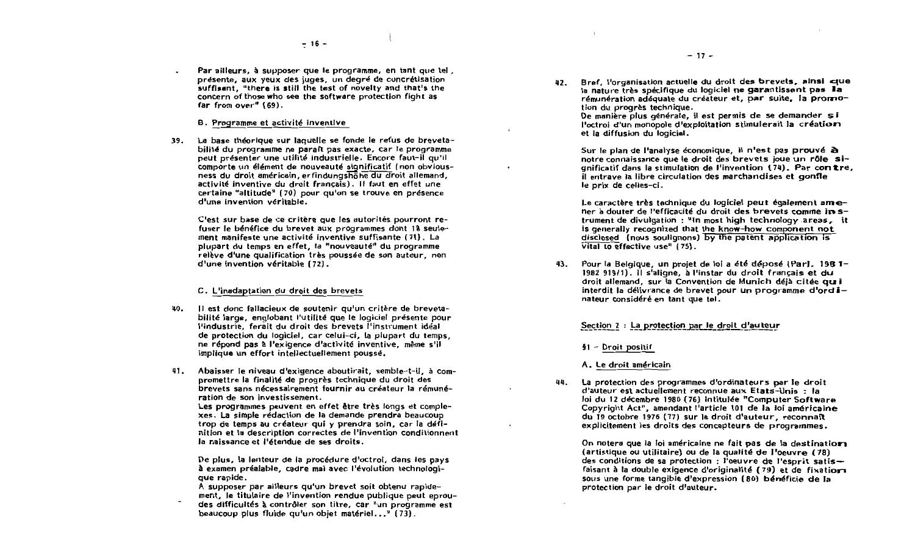Par ailleurs, à supposer que le programme, en tant que tel. présente, aux veux des juges, un degré de concrétisation suffisant, "there is still the test of novelty and that's the concern of those who see the software protection fight as far from over" (69).

B. Programme et activité inventive

La base théorique sur laquelle se fonde le refus de breveta-39. bilité du programme ne paraît pas exacte, car le programme peut présenter une utilité industrielle. Encore faut-il qu'il comporte un élément de nouveauté significatif (non obviousness du droit américain, erfindungshohe du droit allemand, activité inventive du droit francais). Il faut en effet une certaine "altitude" (70) pour qu'on se trouve en présence d'une invention véritable.

C'est sur base de ce critère que les autorités pourront refuser le bénéfice du brevet aux programmes dont 18 seulement manifeste une activité inventive suffisante (71). La plupart du temps en effet. la "nouveauté" du programme relève d'une qualification très poussée de son auteur, non d'une invention véritable (72).

#### C. L'inadaptation du droit des brevets

- 40. Il est donc fallacieux de soutenir qu'un critère de brevetabilité large, englobant l'utilité que le logiciel présente pour l'industrie, ferait du droit des brevets l'instrument idéal de protection du logiciel, car celui-ci, la plupart du temps. ne répond pas à l'exigence d'activité inventive, même s'il implique un effort intellectuellement poussé.
- Abaisser le niveau d'exigence aboutirait, semble-t-il, à com-41. promettre la finalité de progrès technique du droit des brevets sans nécessairement fournir au créateur la rémunération de son investissement. Les programmes peuvent en effet être très longs et comple-

xes. La simple rédaction de la demande prendra beaucoup trop de temps au créateur qui y prendra soin, car la définition et la description correctes de l'invention conditionnent la naissance et l'étendue de ses droits.

De plus, la lenteur de la procédure d'octroi, dans les pays à examen préalable, cadre mai avec l'évolution technologique rapide.

A supposer par ailleurs qu'un brevet soit obtenu rapidement, le titulaire de l'invention rendue publique peut eproudes difficultés à contrôler son titre, car "un programme est beaucoup plus fluide qu'un obiet matériel..." (73).

42. Bref. l'organisation actuelle du droit des brevets, ainsi crue la nature très spécifique du logiciel ne garantissent pas la rémunération adéquate du créateur et, par suite. la promotion du progrès technique.

De manière plus générale, il est permis de se demander si l'octroi d'un monopole d'exploitation stimulerait la création et la diffusion du logiciel.

Sur le plan de l'analyse économique, il n'est pas prouvé à notre connaissance que le droit des brevets joue un rôle sianificatif dans la stimulation de l'invention (74). Par contre, il entrave la libre circulation des marchandises et gonfle le prix de celles-ci.

Le caractère très technique du logiciel peut également amener à douter de l'efficacité du droit des brevets comme in strument de divulgation : "In most high technology areas, it is generally recognized that the know-how component not disclosed (nous soulignons) by the patent application is vital to effective use"  $(75)$ .

43. Pour la Belgique, un projet de loi a été déposé (Par), 1981-1982 919/11. Il s'aligne, à l'instar du droit français et du droit allemand, sur la Convention de Munich déjà citée qui interdit la délivrance de brevet pour un programme d'ordinateur considéré en tant que tel.

#### Section 2 : La protection par le droit d'auteur

§1 - Droit positif

A. Le droit américain

La protection des programmes d'ordinateurs par le droit 44. d'auteur est actuellement reconnue aux Etats-Unis : la loi du 12 décembre 1980 (76) intitulée "Computer Software Copyright Act", amendant l'article 101 de la loi américaine du 19 octobre 1976 (77) sur le droit d'auteur, reconnaît explicitement les droits des concepteurs de programmes.

On notera que la loi américaine ne fait pas de la destination (artistique ou utilitaire) ou de la qualité de l'oeuvre (78) des conditions de sa protection : l'oeuvre de l'esprit satisfaisant à la double exigence d'originalité (79) et de fixation sous une forme tangible d'expression (80) bénéficie de la protection par le droit d'auteur.

 $-17-$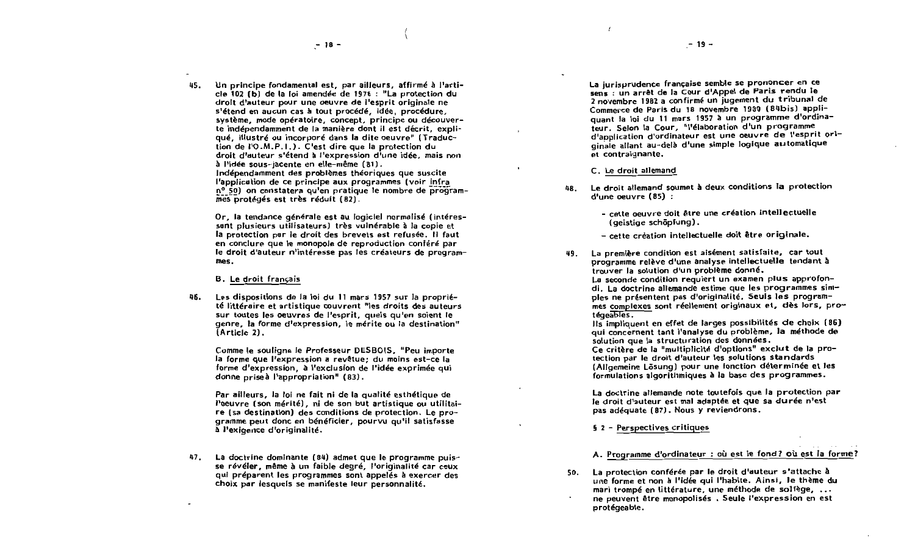45. Un principe fondamental est, par ailleurs, affirmé à l'article 102 (b) de la loi amendée de 1976 : "La protection du droit d'auteur pour une oeuvre de l'esprit originale ne s'étend en aucun cas à tout procédé, idée, procédure système, mode opératoire, concept, principe ou découverte indépendamment de la manière dont il est décrit, expliqué. Illustré ou incorporé dans la dite oeuvre" (Traduction de I'O.M.P.I.). C'est dire que la protection du droit d'auteur s'étend à l'expression d'une idée, mais non à l'idée sous-jacente en elle-même (81). Indépendamment des problèmes théoriques que suscite l'application de ce principe aux programmes (voir infra nº 50) on constatera qu'en pratique le nombre de programmes protégés est très réduit (82).

Or, la tendance générale est au logiciel normalisé (intéressant plusieurs utilisateurs) très vulnérable à la copie et la protection par le droit des brevets est refusée. Il faut en conclure que le monopole de reproduction conféré par le droit d'auteur n'intéresse pas les créateurs de programmes.

#### **B.** Le droit francais

AR. Les dispositions de la loi du 11 mars 1957 sur la propriété littéraire et artistique couvrent "les droits des auteurs sur toutes les oeuvres de l'esprit, quels qu'en soient le genre. la forme d'expression. le mérite ou la destination" (Article 2).

Comme le souligne le Professeur DESBOIS, "Peu importe la forme que l'expression a revêtue; du moins est-ce la forme d'expression, à l'exclusion de l'idée exprimée qui donne priseà l'appropriation" (83).

Par ailleurs, la loi ne fait ni de la qualité esthétique de l'oeuvre (son mérité), ni de son but artistique ou utilitaire (sa destination) des conditions de protection. Le programme peut donc en bénéficier, pourvu qu'il satisfasse à l'exigence d'originalité.

47. La doctrine dominante (84) admet que le programme puisse révéler, même à un faible degré, l'originalité car ceux qui préparent les programmes sont appelés à exercer des choix par lesquels se manifeste leur personnalité.

La jurisprudence française semble se prononcer en ce sens : un arrêt de la Cour d'Appel de Paris rendu le 2 novembre 1982 a confirmé un jugement du tribunal de Commerce de Paris du 18 novembre 1930 (84bis) appliquant la loi du 11 mars 1957 à un programme d'ordinateur. Selon la Cour, "l'élaboration d'un programme d'application d'ordinateur est une oeuvre de l'esprit originale allant au-delà d'une simple logique automatique et contraignante.

- C. Le droit allemand
- Le droit allemand soumet à deux conditions la protection 48. d'une oeuvre (85) :
	- cette oeuvre doit être une création intellectuelle (geistige schöpfung).
	- cette création intellectuelle doit être originale.
- La première condition est aisément satisfaite, car tout 49. programme relève d'une analyse intellectuelle tendant à trouver la solution d'un problème donné, La seconde condition requiert un examen plus approfondi. La doctrine allemande estime que les procrammes simples ne présentent pas d'originalité. Seuls les programmes complexes sont réellement originaux et, dès lors, protégeables.

Ils impliquent en effet de larges possibilités de choix (86) qui concernent tant l'analyse du problème, la méthode de solution que la structuration des données.

Ce critère de la "multiplicité d'options" exclut de la protection par le droit d'auteur les solutions standards (Allgemeine Lösung) pour une fonction déterminée et les formulations algorithmiques à la base des programmes.

La doctrine allemande note toutefois que la protection par le droit d'auteur est mal adaptée et que sa durée n'est pas adéquate (87). Nous y reviendrons.

§ 2 - Perspectives critiques

#### A. Programme d'ordinateur : où est le fond? où est la forme?

La protection conférée par le droit d'auteur s'attache à 50. une forme et non à l'idée qui l'habite. Ainsi, le thème du mari trompé en littérature, une méthode de solfège, ... ne peuvent être monopolisés. Seule l'expression en est protégeable.

 $-19 -$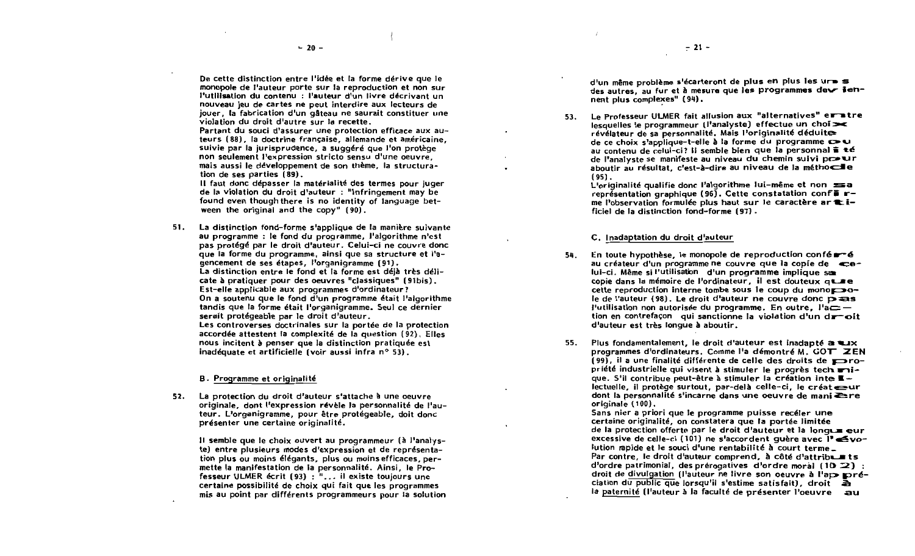De cette distinction entre l'idée et la forme dérive que le monopole de l'auteur porte sur la reproduction et non sur l'utilisation du contenu : l'auteur d'un livre décrivant un nouveau jeu de cartes ne peut interdire aux lecteurs de jouer. la fabrication d'un gâteau ne saurait constituer une violation du droit d'autre sur la recette.

Partant du souci d'assurer une protection efficace aux auteurs (88). la doctrine française, allemande et américaine. suivie par la jurisprudence, a suggéré que l'on protège non seulement l'expression stricto sensu d'une oeuvre. mais aussi le développement de son thème, la structuration de ses parties (89).

Il faut donc dépasser la matérialité des termes pour juger de la violation du droit d'auteur : "Infringement may be found even though there is no identity of language between the original and the copy"  $(90)$ .

La distinction fond-forme s'applique de la manière suivante  $51.$ au programme : le fond du programme. J'algorithme n'est pas protégé par le droit d'auteur. Celui-ci ne couvre donc que la forme du programme, ainsi que sa structure et l'agencement de ses étapes, l'organigramme (91). La distinction entre le fond et la forme est déjà très délicate à pratiquer pour des oeuvres "classiques" (91bis). Est-elle applicable aux programmes d'ordinateur? On a soutenu que le fond d'un programme était l'algorithme tandis que la forme était l'organigramme. Seul ce dernier serait protégeable par le droit d'auteur. Les controverses doctrinales sur la portée de la protection accordée attestent la complexité de la question (92). Elles nous incitent à penser que la distinction pratiquée est inadéquate et artificielle (voir aussi infra n° 53).

#### B. Programme et originalité

52. La protection du droit d'auteur s'attache à une oeuvre originale, dont l'expression révèle la personnalité de l'auteur. L'organigramme, pour être protégeable, doit donc présenter une certaine originalité.

Il semble que le choix ouvert au programmeur (à l'analyste) entre plusieurs modes d'expression et de représentation plus ou moins élégants, plus ou moins efficaces, permette la manifestation de la personnalité. Ainsi, le Professeur ULMER écrit (93) : "... il existe toujours une certaine possibilité de choix qui fait que les programmes mis au point par différents programmeurs pour la solution d'un même problème s'écarteront de plus en plus les ur s des autres, au fur et à mesure que les programmes deux iennent plus complexes" (94).

53. Le Professeur ULMER fait allusion aux "alternatives" eratre lesquelles le programmeur (l'analyste) effectue un choi > révélateur de sa personnalité. Mais l'originalité déduite au contenu de celui-ci? Il semble bien que la personnal  $\tilde{=}$  té de l'analyste se manifeste au niveau du chemin suivi po ur aboutir au résultat. c'est-à-dire au niveau de la méthocie  $(95)$ .

L'originalité qualifie donc l'algorithme lui-même et non sa représentation graphique (96). Cette constatation confi rme l'observation formulée plus haut sur le caractère ar tificiel de la distinction fond-forme (97).

#### C. Inadaptation du droit d'auteur

- En toute hypothèse, le monopole de reproduction confér-é 54. au créateur d'un programme ne couvre que la copie de celui-ci. Même si l'utilisation d'un programme implique sa copie dans la mémoire de l'ordinateur, il est douteux que cette reproduction interne tombe sous le coup du mono le de l'auteur (98). Le droit d'auteur ne couvre donc  $\overline{D}$  as l'utilisation non autorisée du programme. En outre, l'a $=$ tion en contrefaçon qui sanctionne la violation d'un droit d'auteur est très longue à aboutir.
- 55. Plus fondamentalement. le droit d'auteur est inadapté a ux programmes d'ordinateurs. Comme l'a démontré M.  $GOT$   $\mathbb{Z}EN$ (99). il a une finalité différente de celle des droits de  $\blacktriangleright$ ropriété industrielle qui visent à stimuler le progrès tech mique. S'il contribue peut-être à stimuler la création inte  $\blacksquare$  lectuelle, il protège surtout, par-delà celle-ci, le créat eur dont la personnalité s'incarne dans une oeuvre de mani ≥re originale (100).

Sans nier a priori que le programme puisse recéler une certaine originalité, on constatera que la portée limitée de la protection offerte par le droit d'auteur et la longue eur excessive de celle-ci (101) ne s'accordent quère avec l'évolution rapide et le souci d'une rentabilité à court terme\_ Par contre, le droit d'auteur comprend. à côté d'attribum ts d'ordre patrimonial, des prérogatives d'ordre moral (10 $\mathbb{Z}$ ) : droit de divulgation (l'auteur ne livre son oeuvre à l'appereciation du public que lorsqu'il s'estime satisfait), droit à la paternité (l'auteur à la facuité de présenter l'oeuvre au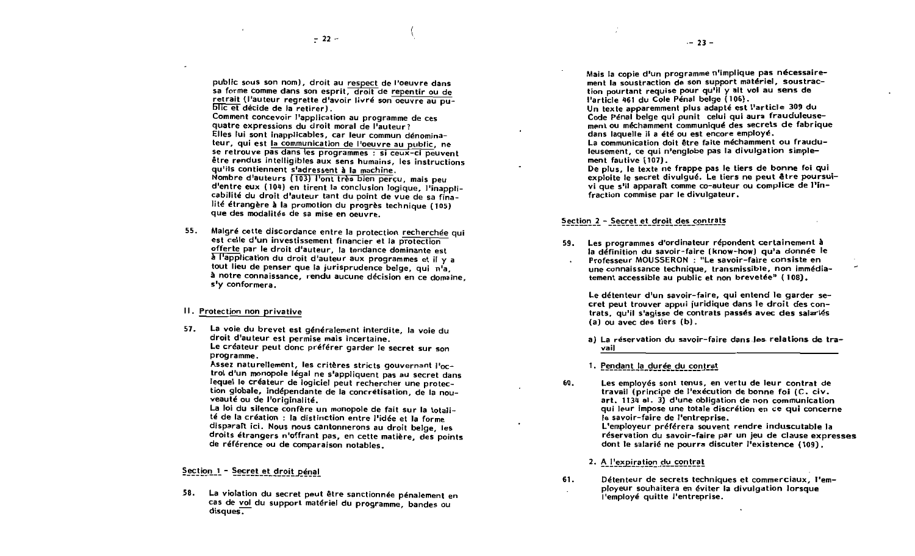public sous son nom), droit au respect de l'oeuvre dans sa forme comme dans son esprit, droit de repentir ou de retrait (l'auteur regrette d'avoir livré son oeuvre au public et décide de la retirer).

Comment concevoir l'application au programme de ces quatre expressions du droit moral de l'auteur? Elles lui sont inapplicables, car leur commun dénominateur, qui est la communication de l'oeuvre au public, ne se retrouve pas dans les programmes : si ceux-ci peuvent être rendus intelligibles aux sens humains, les instructions qu'ils contiennent s'adressent à la machine. Nombre d'auteurs (103) l'ont très bien perçu, mais peu d'entre eux (104) en tirent la conclusion logique, l'inapplicabilité du droit d'auteur tant du point de vue de sa finalité étrangère à la promotion du progrès technique (105) que des modalités de sa mise en oeuvre.

55. Malgré cette discordance entre la protection recherchée qui est celle d'un investissement financier et la protection offerte par le droit d'auteur, la tendance dominante est a l'application du droit d'auteur aux programmes et il y a tout lieu de penser que la jurisprudence belge, qui n'a, à notre connaissance, rendu aucune décision en ce domaine. s'y conformera.

#### II. Protection non privative

La voie du brevet est généralement interdite, la voie du 57. droit d'auteur est permise mais incertaine. Le créateur peut donc préférer garder le secret sur son programme.

Assez naturellement, les critères stricts gouvernant l'octroi d'un monopole légal ne s'appliquent pas au secret dans lequel le créateur de logiciel peut rechercher une protection globale, indépendante de la concrétisation, de la nouveauté ou de l'originalité.

La loi du silence confère un monopole de fait sur la totalité de la création : la distinction entre l'idée et la forme disparaît ici. Nous nous cantonnerons au droit belge, les droits étrangers n'offrant pas, en cette matière, des points de référence ou de comparaison notables.

## Section 1 - Secret et droit pénal

La violation du secret peut être sanctionnée pénalement en 58. cas de vol du support matériel du programme, bandes ou disques.

Mais la copie d'un programme n'implique pas nécessairement la soustraction de son support matériel, soustraction pourtant requise pour qu'il y alt voi au sens de l'article 461 du Cole Pénal belge (106).

Un texte apparemment plus adapté est l'article 309 du Code Pénal belge qui ounit celui qui aura frauduleusement ou méchamment communiqué des secrets de fabrique dans laquelle il a été ou est encore employé.

La communication doit être faite méchamment ou frauduleusement, ce qui n'englobe pas la divulgation simplement fautive (107).

De plus, le texte ne frappe pas le tiers de bonne foi qui exploite le secret divulqué. Le tiers ne peut être poursuivi que s'il apparaît comme co-auteur ou complice de l'infraction commise par le divulgateur.

#### Section 2 - Secret et droit des contrats

Les programmes d'ordinateur répondent certainement à 59. la définition du savoir-faire (know-how) qu'a donnée le Professeur MOUSSERON : "Le savoir-faire consiste en une connaissance technique, transmissible, non immédiatement accessible au public et non brevetée" (108).

Le détenteur d'un savoir-faire, qui entend le garder secret peut trouver appui juridique dans le droit des contrats, qu'il s'agisse de contrats passés avec des salariés (a) ou avec des tiers (b).

a) La réservation du savoir-faire dans les relations de travail

1. Pendant la durée du contrat

Les employés sont tenus, en vertu de leur contrat de 60. travail (principe de l'exécution de bonne foi (C, civ, art, 1134 al. 3) d'une obligation de non communication qui leur impose une totale discrétion en ce qui concerne le savoir-faire de l'entreprise. L'employeur préférera souvent rendre induscutable la réservation du savoir-faire par un jeu de clause expresses dont le salarié ne pourra discuter l'existence (109).

2. A l'expiration du contrat

61. Détenteur de secrets techniques et commerciaux, l'employeur souhaitera en éviter la divulgation lorsque l'employé quitte l'entreprise.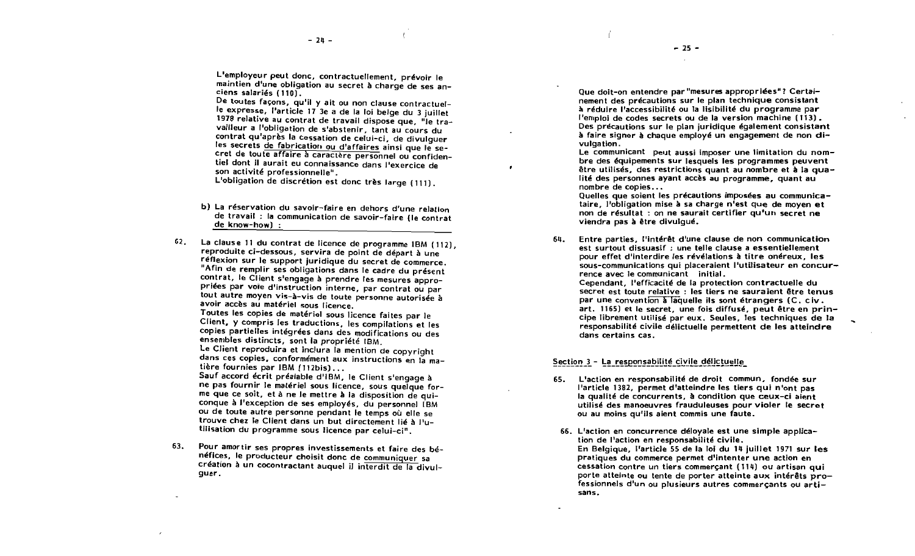$-25 -$ 

L'employeur peut donc, contractuellement, prévoir le maintien d'une obligation au secret à charge de ses anciens salariés (110).

De toutes facons, qu'il y ait ou non clause contractuelle expresse, l'article 17 3e a de la loi belge du 3 juillet 1978 relative au contrat de travail dispose que, "le travailleur a l'obligation de s'abstenir, tant au cours du contrat qu'après la cessation de celui-ci, de divulguer les secrets de fabrication ou d'affaires ainsi que le secret de toute affaire à caractère personnel ou confidentiel dont il aurait eu connaissance dans l'exercice de son activité professionnelle".

L'obligation de discrétion est donc très large (111).

- b) La réservation du savoir-faire en dehors d'une relation de travail : la communication de savoir-faire (le contrat de know-how):
- La clause 11 du contrat de licence de programme IBM (112). 62. reproduite ci-dessous, servira de point de départ à une réflexion sur le support juridique du secret de commerce. "Afin de remplir ses obligations dans le cadre du présent contrat, le Client s'engage à prendre les mesures appropriées par voie d'instruction interne, par contrat ou par tout autre moyen vis-à-vis de toute personne autorisée à avoir accès au matériel sous licence.

Toutes les copies de matériel sous licence faites par le Client, y compris les traductions, les compilations et les copies partielles intégrées dans des modifications ou des ensembles distincts, sont la propriété IBM.

Le Client reproduira et inclura la mention de copyright dans ces copies, conformément aux instructions en la matière fournies par IBM (112bis)...

Sauf accord écrit préalable d'IBM, le Client s'engage à ne pas fournir le matériel sous licence, sous quelque forme que ce soit, et à ne le mettre à la disposition de quiconque à l'exception de ses employés, du personnel (BM ou de toute autre personne pendant le temps où elle se trouve chez le Client dans un but directement lié à l'utilisation du programme sous licence par celui-ci".

Pour amortir ses propres investissements et faire des bé-63. néfices, le producteur choisit donc de communiquer sa création à un cocontractant auquel il interdit de la divulguer.

Que doit-on entendre par "mesures appropriées"? Certainement des précautions sur le plan technique consistant à réduire l'accessibilité ou la lisibilité du programme par l'emploi de codes secrets ou de la version machine (113). Des précautions sur le plan juridique également consistant à faire signer à chaque employé un engagement de non divulgation.

Le communicant peut aussi imposer une limitation du nombre des équipements sur lesquels les programmes peuvent être utilisés, des restrictions quant au nombre et à la qualité des personnes ayant accès au programme, quant au nombre de copies...

Quelles que soient les précautions imposées au communicataire, l'obligation mise à sa charge n'est que de moyen et non de résultat : on ne saurait certifier qu'un secret ne viendra pas à être divulqué.

Entre parties, l'intérêt d'une clause de non communication 64. est surtout dissuasif : une telle clause a essentiellement pour effet d'interdire les révélations à titre onéreux. les .<br>sous-communications qui placeraient l'utilisateur en concurrence avec le communicant initial. Cependant, l'efficacité de la protection contractuelle du secret est toute relative : les tiers ne sauraient être tenus par une convention à laquelle ils sont étrangers (C, civ. .<br>art. 1165) et le secret, une fois diffusé, peut être en principe librement utilisé par eux. Seules, les techniques de la responsabilité civile délictuelle permettent de les atteindre

Section 3 - La responsabilité civile délictuelle

dans certains cas.

- L'action en responsabilité de droit commun, fondée sur 65. l'article 1382, permet d'atteindre les tiers qui n'ont pas la qualité de concurrents, à condition que ceux-ci aient utilisé des manoeuvres frauduleuses pour violer le secret ou au moins qu'ils aient commis une faute.
	- 66. L'action en concurrence déloyale est une simple application de l'action en responsabilité civile. En Belgique. l'article 55 de la loi du 14 juillet 1971 sur les pratiques du commerce permet d'intenter une action en cessation contre un tiers commerçant (114) ou artisan qui porte atteinte ou tente de porter atteinte aux intérêts professionnels d'un ou plusieurs autres commerçants ou artisans.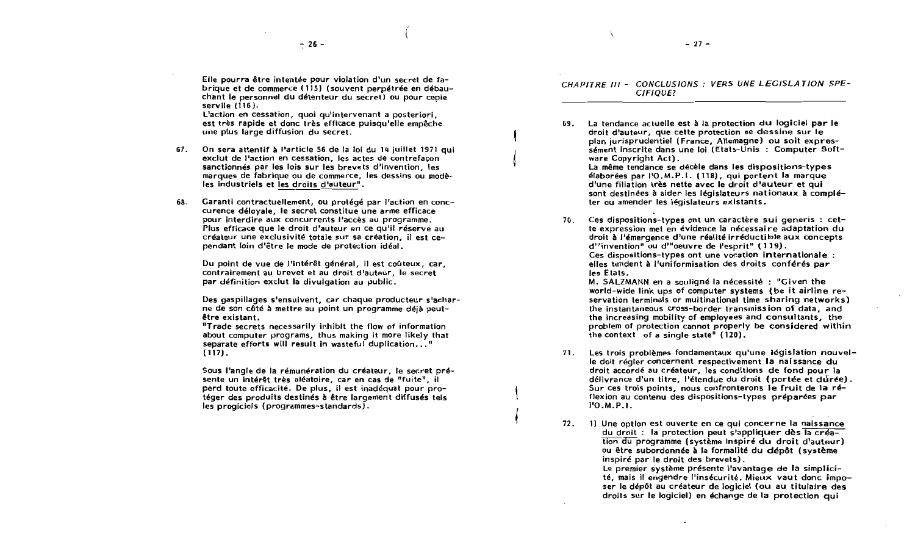Elle pourra être intentée pour violation d'un secret de fabrique et de commerce (115) (souvent perpétrée en débauchant le personnel du détenteur du secret) ou pour copie servile  $(i16)$ .

L'action en cessation, quoi qu'intervenant a posteriori, est très rapide et donc très efficace puisqu'elle empêche une plus large diffusion du secret.

- 67. On sera attentif à l'article 56 de la loi du 14 juillet 1971 qui exclut de l'action en cessation, les actes de contrefaçon sanctionnés par les lois sur les brevets d'invention, les marques de fabrique ou de commerce, les dessins ou modèles industriels et les droits d'auteur".
- 68. Garanti contractuellement, ou protégé par l'action en conccurence déloyale, le secret constitue une arme efficace pour interdire aux concurrents l'accès au programme. Plus efficace que le droit d'auteur en ce qu'il réserve au créateur une exclusivité totale sur sa création. il est cependant loin d'être le mode de protection idéal.

Du point de vue de l'intérêt général, il est coûteux, car, contrairement au brevet et au droit d'auteur. le secret par définition exclut la divulgation au public.

Des gaspillages s'ensuivent, car chaque producteur s'acharne de son côté à mettre au point un programme déjà peutêtre existant.

"Trade secrets necessarily inhibit the flow of information about computer programs, thus making it more likely that separate efforts will result in wasteful duplication..."  $(117)$ .

Sous l'angle de la rémunération du créateur, le secret présente un intérêt très aléatoire, car en cas de "fuite", il perd toute efficacité. De plus, il est inadéquat pour protéger des produits destinés à être largement diffusés tels les progiciels (programmes-standards).

CHAPITRE III - CONCLUSIONS : VERS UNE LEGISLATION SPE-CIFIOUE?

69. La tendance actuelle est à la protection du logiciel par le droit d'auteur, que cette protection se dessine sur le plan jurisprudentiel (France, Allemagne) ou soit expressément inscrite dans une loi (Etats-Unis : Computer Software Copyright Act). La même tendance se décèle dans les dispositions-types

élaborées par l'O.M.P.I. (118), qui portent la marque d'une filiation très nette avec le droit d'auteur et qui sont destinées à aider les législateurs nationaux à compléter ou amender les législateurs existants.

Ces dispositions-types ont un caractère sui generis : cet-70. te expression met en évidence la nécessaire adaptation du droit à l'émergence d'une réalité irréductible aux concepts d'"invention" ou d'"oeuvre de l'esprit" (119). Ces dispositions-types ont une vocation internationale : elles tendent à l'uniformisation des droits conférés par les Etats.

M. SALZMANN en a souligné la nécessité : "Given the world-wide link ups of computer systems (be it airline reservation terminals or multinational time sharing networks) the instantaneous cross-border transmission of data, and the increasing mobility of employees and consultants, the problem of protection cannot properly be considered within the context of a single state" (120).

- 71. Les trois problèmes fondamentaux qu'une législation nouvelle doit régler concernent respectivement la naissance du droit accordé au créateur, les conditions de fond pour la délivrance d'un titre, l'étendue du droit (portée et durée). Sur ces trois points, nous confronterons le fruit de la réflexion au contenu des dispositions-types préparées par  $1'0.M.P.1.$
- 72. 1) Une option est ouverte en ce qui concerne la naissance du droit : la protection peut s'appliquer dès la création du programme (système inspiré du droit d'auteur) ou être subordonnée à la formalité du dépôt (système inspiré par le droit des brevets).

Le premier système présente l'avantage de la simplicité, mais il engendre l'insécurité. Mieux vaut donc imposer le dépôt au créateur de logiciel (ou au titulaire des droits sur le logiciel) en échange de la protection qui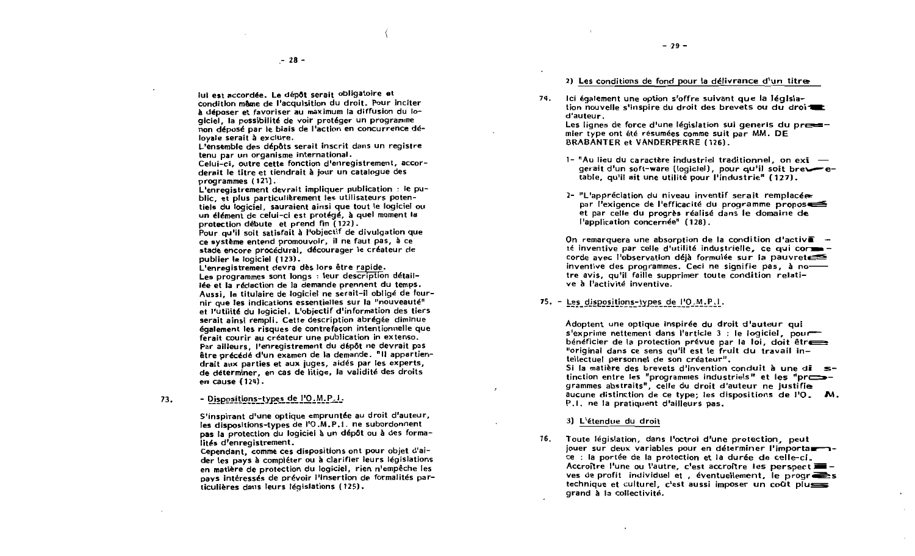lui est accordée. Le dépôt serait obligatoire et condition même de l'acquisition du droit. Pour inciter à déposer et favoriser au maximum la diffusion du logiciel. la possibilité de voir protéger un programme non déposé par le biais de l'action en concurrence délovale serait à exclure.

L'ensemble des dépôts serait inscrit dans un registre tenu par un organisme international.

Celui-ci, outre cette fonction d'enregistrement, accorderait le titre et tiendrait à jour un cataloque des programmes (121).

L'enregistrement devrait impliquer publication : le public, et plus particulièrement les utilisateurs potentiels du logiciel, sauraient ainsi que tout le logiciel ou un élément de celui-ci est protégé, à quel moment la protection débute et prend fin (122).

Pour qu'il soit satisfait à l'objectif de divulgation que ce système entend promouvoir, il ne faut pas, à ce stade encore procédural, décourager le créateur de publier le logiciel (123).

L'enregistrement devra dès lors être rapide. Les programmes sont longs : leur description détaillée et la rédaction de la demande prennent du temps. Aussi, le titulaire de logiciel ne serait-il obligé de fournir que les indications essentielles sur la "nouveauté" et l'utilité du logiciel. L'objectif d'information des tiers serait ainsi rempli. Cette description abrégée diminue également les risques de contrefacon intentionnelle que ferait courir au créateur une publication in extenso. Par ailleurs. l'enregistrement du dépôt ne devrait pas être précédé d'un examen de la demande. "Il appartiendrait aux parties et aux juges, aidés par les experts. de déterminer, en cas de litige, la validité des droits en cause (124).

- Dispositions-types de l'O.M.P.I. 73.

> S'inspirant d'une optique empruntée au droit d'auteur, les dispositions-types de l'O.M.P.I. ne subordonnent pas la protection du logiciel à un dépôt ou à des formalités d'enregistrement.

> Cependant, comme ces dispositions ont pour obiet d'aider les pays à compléter ou à clarifier leurs législations en matière de protection du logiciel, rien n'empêche les nays intéressés de prévoir l'insertion de formalités particulières dans leurs législations (125).

2) Les conditions de fond pour la délivrance d'un titre

Ici également une option s'offre suivant que la Jégisla-74. tion nouvelle s'inspire du droit des brevets ou du droi d'auteur.

Les lignes de force d'une législation sui generis du pressmier type ont été résumées comme suit par MM. DE **BRABANTER et VANDERPERRE (126).** 

- 1- "Au lieu du caractère industriel traditionnel, on exi  $$ gerait d'un soft-ware (logiciel), pour qu'il soit bretet table, qu'il ait une utilité pour l'industrie" (127).
- 2- "L'appréciation du niveau inventif serait remplacée par l'exigence de l'efficacité du programme proposes et par celle du progrès réalisé dans le domaine de l'application concernée" (128).

On remarquera une absorption de la condition d'activ $\tilde{a}$  té inventive par celle d'utilité industrielle, ce qui cormecorde avec l'observation déjà formulée sur la pauvrete = inventive des programmes. Ceci ne signifie pas, à notre avis, qu'il faille supprimer toute condition relative à l'activité inventive.

#### 75. - Les dispositions-types de l'O.M.P.I.

Adoptent une optique inspirée du droit d'auteur qui s'exprime nettement dans l'article  $3$  : le logiciel, pour bénéficier de la protection prévue par la loi, doit être "original dans ce sens qu'il est le fruit du travail intellectuel personnel de son créateur".

Si la matière des brevets d'invention conduit à une di  $s$ tinction entre les "programmes industriels" et les "pressgrammes abstraits". celle du droit d'auteur ne justifie aucune distinction de ce type; les dispositions de  $1'0$ . M. P.I. ne la pratiquent d'ailleurs pas.

3) L'étendue du droit

76. Toute législation, dans l'octroi d'une protection, peut jouer sur deux variables pour en déterminer l'importauce : la portée de la protection et la durée de celle-ci. Accroître l'une ou l'autre, c'est accroître les perspect = ves de profit individuel et , éventuellement, le progr $\overline{\bullet}$ s technique et culturel, c'est aussi imposer un coût plus grand à la collectivité.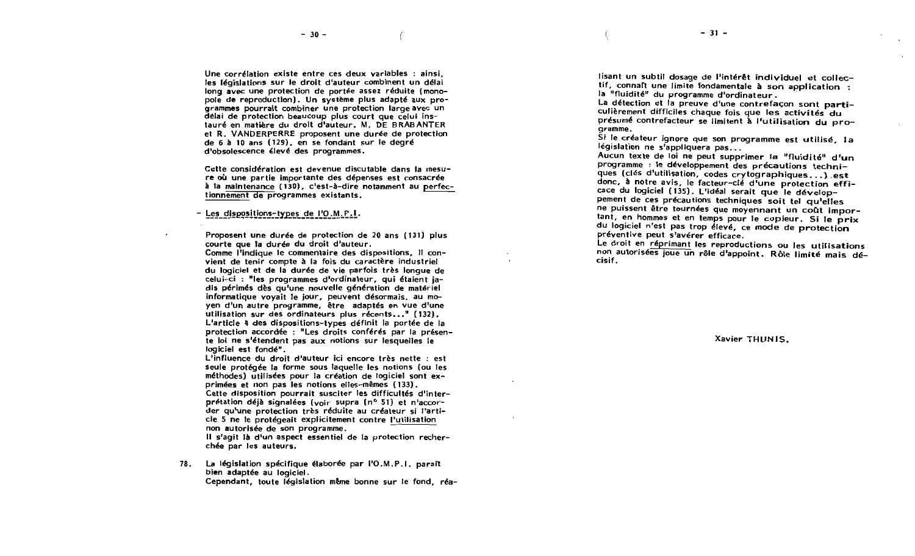Une corrélation existe entre ces deux variables : ainsi. les législations sur le droit d'auteur combinent un délai long avec une protection de portée assez réduite (monopole de reproduction). Un système plus adapté aux programmes pourrait combiner une protection large avec un delai de protection beaucoup plus court que celui instauré en matière du droit d'auteur. M. DE BRABANTER et R. VANDERPERRE proposent une durée de protection de 6 à 10 ans (129), en se fondant sur le degré d'obsolescence élevé des programmes.

Cette considération est devenue discutable dans la mesure où une partie importante des dépenses est consacrée à la maintenance (130), c'est-à-dire notamment au perfectionnement de programmes existants.

Les dispositions-types de l'O.M.P.I.

Proposent une durée de protection de 20 ans (131) plus courte que la durée du droit d'auteur.

Comme l'indique le commentaire des dispositions. il convient de tenir compte à la fois du caractère industriel du logiciel et de la durée de vie parfois très longue de celui-ci : "les programmes d'ordinateur, qui étaient jadis périmés dès qu'une nouvelle génération de matériel informatique voyait le jour, peuvent désormais, au moyen d'un autre programme. être adaptés en vue d'une utilisation sur des ordinateurs plus récents..." (132). L'article 4 des dispositions-types définit la portée de la protection accordée : "Les droits conférés par la présente loi ne s'étendent pas aux notions sur lesquelles le logiciel est fondé".

L'influence du droit d'auteur ici encore très nette : est seule protégée la forme sous laquelle les notions (ou les méthodes) utilisées pour la création de logiciel sont exprimées et non pas les notions elles-mêmes (133).

Cette disposition pourrait susciter les difficultés d'interprétation déjà signalées (voir supra (n° 51) et n'accorder qu'une protection très réduite au créateur si l'article 5 ne le protégeait explicitement contre l'utilisation non autorisée de son programme.

Il s'agit là d'un aspect essentiel de la protection recherchée par les auteurs.

La législation spécifique élaborée par l'O.M.P.I. parait 78. bien adaptée au logiciel. Cependant, toute législation même bonne sur le fond, réa-

lisant un subtil dosage de l'intérêt individuel et collectif. connaft une limite fondamentale à son application : la "fluidité" du programme d'ordinateur.

La détection et la preuve d'une contrefaçon sont particulièrement difficiles chaque fois que les activités du présumé contrefacteur se limitent à l'utilisation du programme.

Si le créateur ignore que son programme est utilisé, la législation ne s'appliquera pas...

Aucun texte de loi ne peut supprimer la "fluidité" d'un programme : le développement des précautions techniques (clés d'utilisation, codes crytographiques...) est donc, à notre avis, le facteur-clé d'une protection efficace du logiciel (135). L'idéal serait que le développement de ces précautions techniques soit tel qu'elles ne puissent être tournées que moyennant un coût important, en hommes et en temps pour le copieur. Si le prix du logiciel n'est pas trop élevé, ce mode de protection préventive peut s'avérer efficace.

Le droit en réprimant les reproductions ou les utilisations non autorisées joue un rôle d'appoint. Rôle limité mais décisif.

Xavier THUNIS.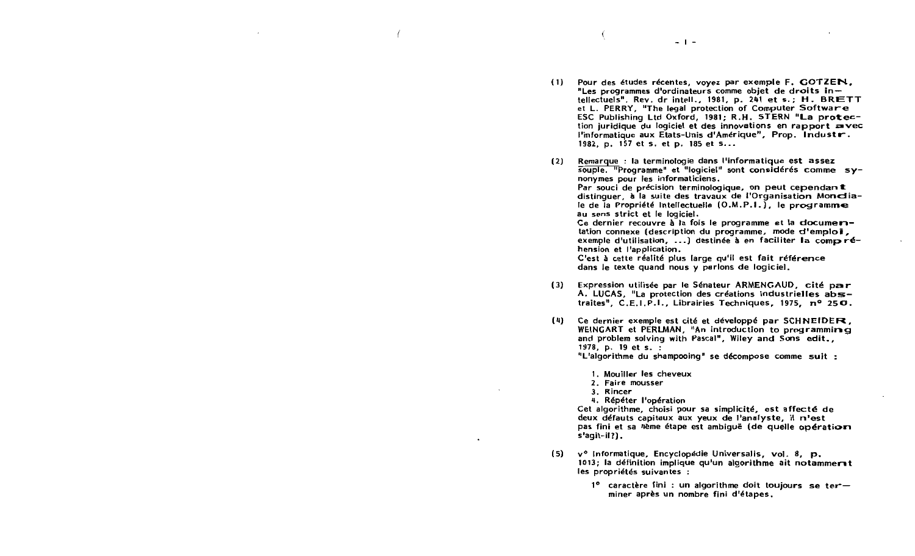- Pour des études récentes, voyez par exemple F. GOTZEN.  $(1)$ "Les programmes d'ordinateurs comme objet de droits intellectuels". Rev. dr intell., 1981, p. 241 et s.; H. BRETT et L. PERRY, "The legal protection of Computer Software ESC Publishing Ltd Oxford, 1981; R.H. STERN "La protection juridique du logiciel et des innovations en rapport avec l'informatique aux Etats-Unis d'Amérique", Prop. Industr. 1982, p. 157 et s. et p. 185 et s...
- Remarque : la terminologie dans l'informatique est assez  $(2)$ souple. "Programme" et "logiciel" sont considérés comme synonymes pour les informaticiens. Par souci de précision terminologique, on peut cependant distinguer, à la suite des travaux de l'Organisation Mondiale de la Propriété Intellectuelle (O.M.P.I.), le programme au sens strict et le logiciel. Ce dernier recouvre à la fois le programme et la clocumeritation connexe (description du programme, mode d'emploi, exemple d'utilisation, ...) destinée à en faciliter la compréhension et l'application. C'est à cette réalité plus large qu'il est fait référence dans le texte quand nous y parlons de logiciel.
- $(3)$ Expression utilisée par le Sénateur ARMENGAUD, cité par A. LUCAS, "La protection des créations industrielles abstraites", C.E.I.P.I., Librairies Techniques, 1975, nº 250.
- $(4)$ Ce dernier exemple est cité et développé par SCHNEIDER. WEINGART et PERLMAN, "An introduction to programming and problem solving with Pascal", Wiley and Sons edit., 1978. p. 19 et s. : "L'algorithme du shampooing" se décompose comme suit :
	- 1. Mouiller les cheveux
	- 2. Faire mousser
	- 3. Rincer
	- 4. Répéter l'opération

Cet algorithme, choisi pour sa simplicité, est affecté de deux défauts capitaux aux yeux de l'analyste, il n'est pas fini et sa 4ème étape est ambiguë (de quelle opération  $s'$ agit-il? $).$ 

- $(5)$ v<sup>o</sup> Informatique, Encyclopédie Universalis, vol. 8, p. 1013; la définition implique qu'un algorithme ait notammerst les propriétés suivantes :
	- 10 caractère fini : un algorithme doit toujours se terminer après un nombre fini d'étapes.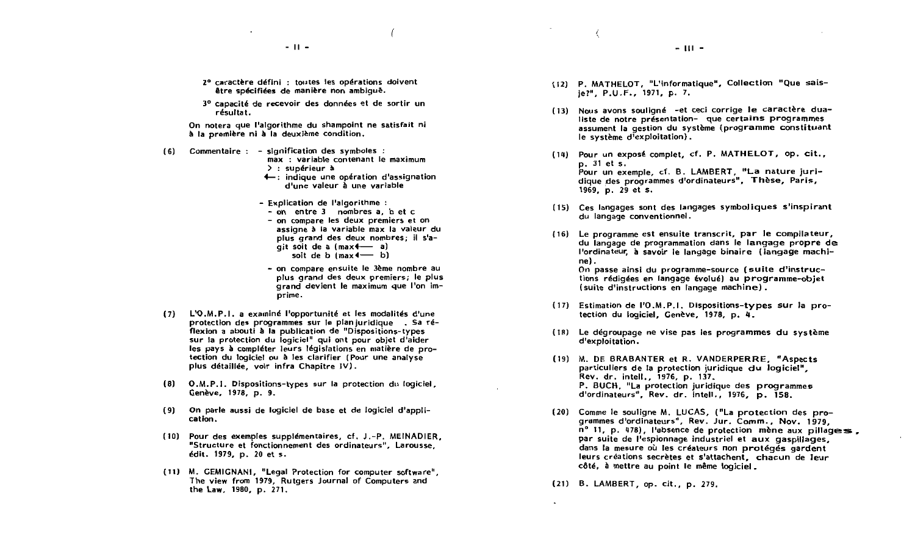- 2º caractère défini : toutes les opérations doivent être spécifiées de manière non ambique.
- 3º capacité de recevoir des données et de sortir un résultat.

On notera que l'algorithme du shampoint ne satisfait ni à la première ni à la deuxième condition.

- (6) Commentaire : signification des symboles : max : variable contenant le maximum  $\ge$ : supérieur à
	- 4 : indique une opération d'assignation d'une valeur à une variable
	- Explication de l'algorithme :
		- $-$  on entre 3 nombres a, b et c
		- on compare les deux premiers et on assigne à la variable max la valeur du plus grand des deux nombres: il s'a $ait soit de a (max $4$  - a)$ soit de  $b$  (max  $\longleftarrow$  b)
		- on compare ensuite le 3ème nombre au plus grand des deux premiers; le plus grand devient le maximum que l'on imprime.
- (7) L'O.M.P.I. a examiné l'opportunité et les modalités d'une protection des programmes sur le plan juridique. Sa réflexion a abouti à la publication de "Dispositions-types sur la protection du logiciel" qui ont pour obiet d'aider les pays à compléter leurs législations en matière de protection du logiciel ou à les clarifier (Pour une analyse plus détaillée. voir infra Chapitre IV).
- (8) O.M.P.I. Dispositions-types sur la protection du logiciel. Genève, 1978, p. 9.
- (9) On parle aussi de logiciel de base et de logiciel d'application.
- (10) Pour des exemples supplémentaires, cf. J.-P. MEINADIER. "Structure et fonctionnement des ordinateurs", Larousse, édit. 1979. p. 20 et s.
- (11) M. GEMIGNANI, "Legal Protection for computer software". The view from 1979, Rutgers Journal of Computers and the Law, 1980, p. 271.
- (12) P. MATHELOT, "L'informatique", Collection "Que saisje?", P.U.F., 1971, p. 7.
- (13) Nous avons souligné -et ceci corrige le caractère dualiste de notre présentation- que certains programmes assument la gestion du système (programme constituant le système d'exploitation).
- (14) Pour un exposé complet, cf. P. MATHELOT, op. cit., p. 31 et s. Pour un exemple, cf. B. LAMBERT. "La nature iuridique des programmes d'ordinateurs", Thèse, Paris, 1969, p. 29 et s.
- (15) Ces langages sont des langages symboliques s'inspirant du langage conventionnel.
- (16) Le programme est ensuite transcrit, par le compilateur, du langage de programmation dans le langage propre de l'ordinateur, à savoir le langage binaire (Jangage machine). On passe ainsi du programme-source (suite d'instructions rédigées en langage évolué) au programme-objet (suite d'instructions en langage machine).
- (17) Estimation de l'O.M.P.I. Dispositions-types sur la protection du logiciel, Genève, 1978, p. 4.
- (18) Le dégroupage ne vise pas les programmes du système d'exploitation.
- (19) M. DE BRABANTER et R. VANDERPERRE. "Aspects particuliers de la protection juridique du logiciel". Rev. dr. intell., 1976, p. 137, P. BUCH, "La protection juridique des programmes d'ordinateurs", Rev. dr. intell., 1976, p. 158.
- (20) Comme le souligne M. LUCAS, ("La protection des programmes d'ordinateurs", Rev. Jur. Comm., Nov. 1979, nº 11, p. 478), l'absence de protection mène aux pillages. par suite de l'espionnage industriel et aux gaspillages. dans la mesure où les créateurs non protégés gardent leurs créations secrètes et s'attachent. chacun de Jeur côté, à mettre au point le même logiciel.

(21) B. LAMBERT, op. cit., p. 279.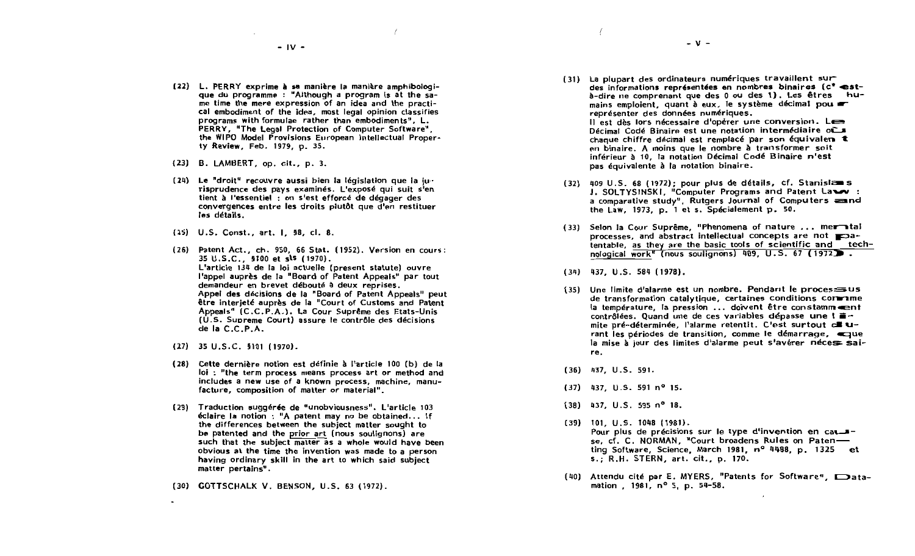- (22) L. PERRY exprime à sa manière la manière amphibologique du programme : "Although a program is at the same time the mere expression of an idea and the practical embodiment of the idea, most legal opinion classifies programs with formulae rather than embodiments", L. PERRY, "The Legal Protection of Computer Software", the WIPO Model Provisions European Intellectual Property Review, Feb. 1979, p. 35.
- (23) B. LAMBERT, op. cit., p. 3.
- (24) Le "droit" recouvre aussi bien la législation que la jurisprudence des pays examinés. L'exposé qui suit s'en tient à l'essentiel : on s'est efforcé de dégager des convergences entre les droits plutôt que d'en restituer les détails.
- (25) U.S. Const., art. I, 58, cl. 8.
- (26) Patent Act., ch. 950, 66 Stat. (1952). Version en cours: 35 U.S.C., 5100 et sts (1970). L'article 134 de la loi actuelle (present statute) ouvre l'appel auprès de la "Board of Patent Appeals" par tout demandeur en brevet débouté à deux reprises. Appel des décisions de la "Board of Patent Appeals" peut être interjeté auprès de la "Court of Customs and Patent Appeals" (C.C.P.A.). La Cour Suprême des Etats-Unis (U.S. Supreme Court) assure le contrôle des décisions de la C.C.P.A.
- $(27)$  35 U.S.C. 5101 (1970).
- (28) Cette dernière notion est définie à l'article 100 (b) de la loi : "the term process means process art or method and includes a new use of a known process, machine, manufacture, composition of matter or material".
- (29) Traduction suggérée de "unobviousness". L'article 103 éclaire la notion : "A patent may no be obtained... If the differences between the subject matter sought to be patented and the prior art (nous soulignons) are such that the subject matter as a whole would have been obvious at the time the invention was made to a person having ordinary skill in the art to which said subject matter pertains".
- (30) GOTTSCHALK V. BENSON, U.S. 63 (1972).

(31) La plupart des ordinateurs numériques travaillent sur des informations représentées en nombres binaires (c'està-dire ne comprenant que des 0 ou des 1). Les êtres humains emploient, quant à eux, le système décimal pou représenter des données numériques. Il est dès lors nécessaire d'opérer une conversion. Les Décimal Codé Binaire est une notation intermédiaire où chaque chiffre décimal est remplacé par son équivalem t en binaire. A moins que le nombre à transformer soit inférieur à 10, la notation Décimal Codé Binaire n'est pas équivalente à la notation binaire.

 $- V -$ 

- (32) 409 U.S. 68 (1972); pour plus de détails, cf. Stanislans J. SOLTYSINSKI, "Computer Programs and Patent Law : a comparative study", Rutgers Journal of Computers and the Law, 1973, p. 1 et s. Spécialement p. 50.
- (33) Selon la Cour Suprême, "Phenomena of nature ... mernital processes, and abstract intellectual concepts are not soatentable, as they are the basic tools of scientific and technological work" (nous soulignons) 409, U.S. 67 (1972).
- $(34)$  437, U.S. 584 (1978).
- (35) Une limite d'alarme est un nombre. Pendant le processus de transformation catalytique, certaines conditions commune la température, la pression ... doivent être constamm contrôlées. Quand une de ces variables dépasse une l <sup>a-</sup> mite pré-déterminée, l'alarme retentit. C'est surtout cu urant les périodes de transition, comme le démarrage, eque la mise à jour des limites d'alarme peut s'avérer nécess saire.
- $(36)$ 437, U.S. 591.
- $(37)$  437, U.S. 591 n<sup>o</sup> 15.
- $(38)$  437, U.S. 595 n<sup>o</sup> 18.
- $(39)$  101, U.S. 1048 (1981). Pour plus de précisions sur le type d'invention en causse, cf. C. NORMAN, "Court broadens Rules on Patenting Software, Science, March 1981, nº 4488, p. 1325 et s.; R.H. STERN, art. cit., p. 170.
- (40) Attendu cité par E. MYERS, "Patents for Software", Datamation, 1981, nº 5, p. 54-58.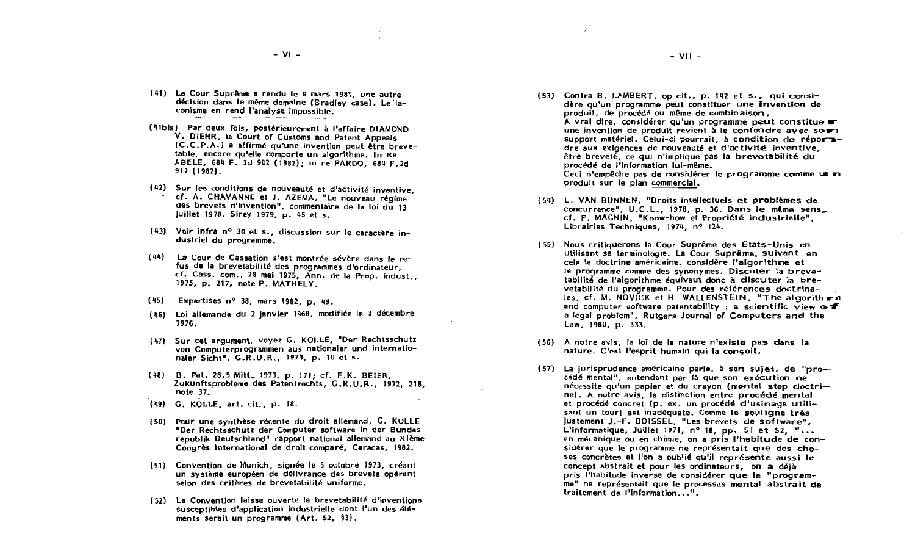- (41) La Cour Suprême a rendu le 9 mars 1981, une autre décision dans le même domaine (Sradley case). Le laconisme en rend l'analyse impossible.
- (41bis) Par deux fois, postérieurement à l'affaire DIAMOND V. DIEHR. Ia Court of Customs and Patent Appeals (C.C.P.A.) a affirmé qu'une invention peut être brevetable, encore qu'elle comporte un algorithme. In Re ABELE. 684 F. 2d 902 (1982): in re PARDO, 684 F.2d 912 (1982).
- (42) Sur les conditions de nouveauté et d'activité inventive. cf. A. CHAVANNE et J. AZEMA, "Le nouveau régime des brevets d'invention", commentaire de la loi du 13 juillet 1978, Sirey 1979, p. 45 et s.
- (43) Voir infra nº 30 et s., discussion sur le caractère industriel du programme.
- (44) La Cour de Cassation s'est montrée sévère dans le refus de la brevetabilité des programmes d'ordinateur, cf. Cass. com., 28 mai 1975, Ann. de la Prop. indust., 1975, p. 217, note P. MATHELY.
- (45) Expertises nº 38, mars 1982, p. 49.
- (46) Loi allemande du 2 janvier 1968, modifiée le 3 décembre 1976.
- (47) Sur cet argument, voyez G. KOLLE, "Der Rechtsschutz von Computerprogrammen aus nationaler und internationaler Sicht", G.R.U.R., 1974, p. 10 et s.
- (48) B. Pat. 28.5 Mitt., 1973, p. 171; cf. F.K. BEIER. Zukunftsprobleme des Patentrechts, G.R.U.R., 1972, 218, note 37.
- (49) G. KOLLE, art. cit., p. 18.
- (50) Pour une synthèse récente du droit allemand, G. KOLLE "Der Rechtsschutz der Computer software in der Bundes republik Deutschland" rapport national allemand au XIème Congrès International de droit comparé, Caracas, 1982,
- (51) Convention de Munich, signée le 5 octobre 1973, créant un système européen de délivrance des brevets opérant selon des critères de brevetabilité uniforme.
- (52) La Convention laisse ouverte la brevetabilité d'inventions susceptibles d'application industrielle dont l'un des éléments serait un programme (Art. 52, §3).

(53) Contra B. LAMBERT, op cit., p. 142 et s., qui considère qu'un programme peut constituer une invention de produit, de procédé ou même de combinaison. A vrai dire, considérer qu'un programme peut constitue r une invention de produit revient à le confondre avec sour support matériel. Celui-ci pourrait, à condition de réportedre aux exigences de nouveauté et d'activité inventive. être breveté, ce qui n'implique pas la brevetabilité du procédé de l'information lui-même. Ceci n'empêche pas de considérer le programme comme un m produit sur le plan commercial.

 $-$  VII  $-$ 

- (54) L. VAN BUNNEN. "Droits intellectuels et problèmes de concurrence", U.C.L., 1978, p. 36. Dans le même sens\_ cf. F. MAGNIN, "Know-how et Propriété industrielle". Librairies Techniques, 1974, nº 124.
- (55) Nous critiquerons la Cour Suprême des Etats-Unis en utilisant sa terminologie. La Cour Suprême, suivant en cela la doctrine américaine, considère l'algorithme et le programme comme des synonymes. Discuter la brevetabilité de l'algorithme équivaut donc à discuter la brevetabilité du programme. Pour des références doctrinales, cf. M. NOVICK et H. WALLENSTEIN, "The algorith rn and computer software patentability : a scientific view  $\sim$  f a legal problem", Rutgers Journal of Computers and the Law, 1980, p. 333.
- (56) A notre avis, la loi de la nature n'existe pas dans la nature. C'est l'esprit humain qui la concoit.
- (57) La jurisprudence américaine parle, à son sujet, de "procédé mental", entendant par là que son exécution ne nécessite qu'un papier et du crayon (mental step cloctrine). A notre avis, la distinction entre procédé mental et procédé concret (p. ex. un procédé d'usinage utilisant un tour) est inadéquate. Comme le souligne très justement J.-F. BOISSEL, "Les brevets de software", L'informatique, Juillet 1971, nº 18, pp. 51 et 52, "... en mécanique ou en chimie, on a pris l'habitude de considérer que le programme ne représentait que des choses concrètes et l'on a oublié qu'il représente aussi le concept abstrait et pour les ordinateurs, on a déjà pris l'habitude inverse de considérer que le "programme" ne représentait que le processus mental abstrait de traitement de l'information...".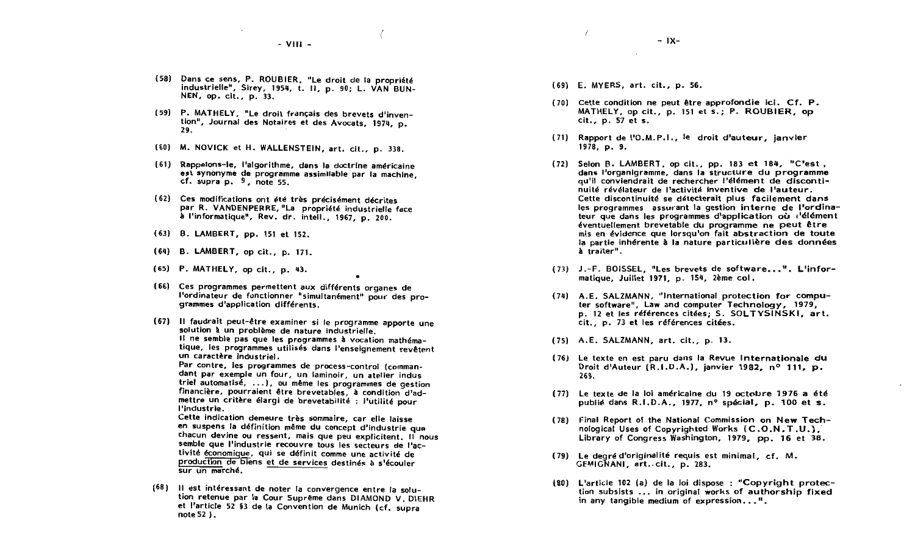$-$  VIII  $-$ 

- (58) Dans ce sens, P. ROUBIER, "Le droit de la propriété industrielle", Sirey, 1954, t. II, p. 90; L. VAN BUN-NEN, op. cit., p. 33.
- (59) P. MATHELY, "Le droit français des brevets d'invention", Journal des Notaires et des Avocats, 1974, p. 29.
- (60) M. NOVICK et H. WALLENSTEIN, art. cit., p. 338.
- (61) Rappelons-le, l'algorithme, dans la doctrine américaine est synonyme de programme assimilable par la machine, cf. supra  $p. 9$ , note 55.
- (62) Ces modifications ont été très précisément décrites par R. VANDENPERRE, "La propriété industrielle face à l'informatique", Rev. dr. intell., 1967, p. 200.
- (63) B. LAMBERT, pp. 151 et 152.
- (64) B. LAMBERT, op cit., p. 171.
- (65) P. MATHELY, op cit., p. 43.
- (66) Ces programmes permettent aux différents organes de l'ordinateur de fonctionner "simultanément" pour des proarammes d'application différents.
- (67) Il faudrait peut-être examiner si le programme apporte une solution à un problème de nature industrielle. Il ne semble pas que les programmes à vocation mathématique, les programmes utilisés dans l'enseignement revêtent un caractère industriel.

Par contre, les programmes de process-control (commandant par exemple un four, un laminoir, un atelier indus triel automatisé, ...), ou même les programmes de gestion financière, pourraient être brevetables, à condition d'admettre un critère élargi de brevetabilité : l'utilité pour l'industrie.

Cette indication demeure très sommaire, car elle laisse en suspens la définition même du concept d'industrie que chacun devine ou ressent, mais que peu explicitent. Il nous semble que l'industrie recouvre tous les secteurs de l'activité économique, qui se définit comme une activité de production de biens et de services destinés à s'écouler sur un marché.

(68) Il est intéressant de noter la convergence entre la solution retenue par la Cour Suprême dans DIAMOND V. DIEHR et l'article 52 §3 de la Convention de Munich (cf. supra note  $52$ ).

- (69) E. MYERS, art. cit., p. 56.
- (70) Cette condition ne peut être approfondie ici. Cf. P. MATHELY, op cit., p. 151 et s.; P. ROUBIER, op cit., p. 57 et s.
- (71) Rapport de l'O.M.P.I., le droit d'auteur, janvier 1978, p. 9.
- $(72)$  Selon B. LAMBERT, op cit., pp. 183 et 184, "C'est, dans l'organigramme, dans la structure du programme qu'il conviendrait de rechercher l'élément de discontinuité révélateur de l'activité inventive de l'auteur. Cette discontinuité se détecterait plus facilement dans les programmes assurant la gestion interne de l'ordinateur que dans les programmes d'application où d'élément éventuellement brevetable du programme ne peut être mis en évidence que lorsqu'on fait abstraction de toute la partie inhérente à la nature particulière des données à traiter".
- (73) J.-F. BOISSEL, "Les brevets de software...". L'informatique. Juillet 1971, p. 154. 2ème col.
- (74) A.E. SALZMANN, "International protection for computer software", Law and computer Technology, 1979, p. 12 et les références citées: S. SOLTYSINSKI, art. cit., p. 73 et les références citées.
- (75) A.E. SALZMANN, art. cit., p. 13.
- (76) Le texte en est paru dans la Revue Internationale du Droit d'Auteur (R.I.D.A.), janvier 1982, nº 111, p. 269.
- (77) Le texte de la loi américaine du 19 octobre 1976 a été publié dans R.I.D.A., 1977, nº spécial, p. 100 et s.
- (78) Final Report of the National Commission on New Technological Uses of Copyrighted Works (C.O.N.T.U.), Library of Congress Washington, 1979, pp. 16 et 38.
- (79) Le degré d'originalité requis est minimal, cf. M. GEMIGNANI, art. cit., p. 283.
- (80) L'article 102 (a) de la loi dispose : "Copyright protection subsists ... in original works of authorship fixed in any tangible medium of expression...".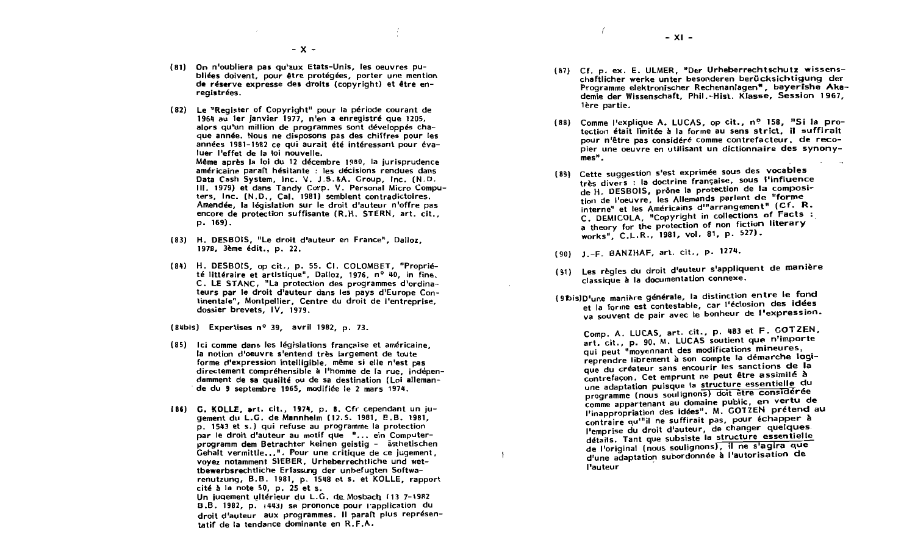- (81) On n'oubliera pas qu'aux Etats-Unis. les oeuvres publiées doivent, pour être protégées, porter une mention de réserve expresse des droits (copyright) et être enreaistrées.
- (82) Le "Register of Copyright" pour la période courant de 1964 au 1er janvier 1977, n'en a enregistré que 1205, alors qu'un million de programmes sont développés chaque année. Nous ne disposons pas des chiffres pour les années 1981-1982 ce qui aurait été intéressant pour évaluer l'effet de la loi nouvelle. Même après la loi du 12 décembre 1980, la jurisprudence américaine paraît hésitante : les décisions rendues dans Data Cash System, Inc. V. J.S.&A. Group, Inc. (N.D. III. 1979) et dans Tandy Corp. V. Personal Micro Computers, Inc. (N.D., Cal. 1981) semblent contradictoires. Amendée, la législation sur le droit d'auteur n'offre pas encore de protection suffisante (R.H. STERN, art. cit.,  $p. 169$ .
- (83) H. DESBOIS, "Le droit d'auteur en France", Dalloz, 1978. 3ème édit., p. 22.
- (84) H. DESBOIS, op cit., p. 55. CI. COLOMBET, "Propriété littéraire et artistique". Dalloz. 1976. nº 40. in fine. C. LE STANC, "La protection des programmes d'ordinateurs par le droit d'auteur dans les pays d'Europe Continentale". Montpellier. Centre du droit de l'entreprise. dossier brevets, IV. 1979.
- (84bis) Expertises nº 39, avril 1982, p. 73.
- (85) Ici comme dans les législations française et américaine. la notion d'oeuvre s'entend très largement de toute forme d'expression intelligible, même si elle n'est pas directement compréhensible à l'homme de la rue, indépendamment de sa qualité ou de sa destination (Loi allemande du 9 septembre 1965, modifiée le 2 mars 1974.
- [86] G. KOLLE, art. cit., 1974, p. 8. Cfr cependant un iugement du L.G. de Mannhelm (12.5. 1981, B.B. 1981, p. 1543 et s.) qui refuse au programme la protection par le droit d'auteur au motif que "... ein Computerprogramm dem Betrachter keinen geistig - ästhetischen Gehalt vermittle...". Pour une critique de ce jugement, vovez notamment SIEBER. Urheberrechtliche und wettbewerbsrechtliche Erfassung der unbefugten Softwarenutzung, B.B. 1981, p. 1548 et s. et KOLLE, rapport cité à la note 50, p. 25 et s. Un jugement ultérieur du L.G. de Mosbach (13 7-1982 B.B. 1982, p. (443) se prononce pour l'application du droit d'auteur aux programmes. Il paraît plus représentatif de la tendance dominante en R.F.A.
- (87) Cf. p. ex. E. ULMER, "Der Urheberrechtschutz wissenschaftlicher werke unter besonderen berücksichtiqung der Programme elektronischer Rechenaniagen", bayerishe Akademie der Wissenschaft, Phil.-Hist. Klasse, Session 1967, lère partie.
- (88) Comme l'explique A. LUCAS, op cit., nº 158, "Si la protection était limitée à la forme au sens strict, il suffirait pour n'être pas considéré comme contrefacteur, de recopier une oeuvre en utilisant un dictionnaire des synony $mes<sup>n</sup>$ .
- (89) Cette suggestion s'est exprimée sous des vocables très divers : la doctrine française, sous l'influence de H. DESBOIS, prône la protection de la composition de l'oeuvre, les Allemands parlent de "forme interne" et les Américains d'"arrangement" (Cf. R. C. DEMICOLA, "Copyright in collections of Facts : a theory for the protection of non fiction literary works", C.L.R., 1981, vol. 81, p. 527).
- (90) J.-F. BANZHAF, art. cit., p. 1274.

 $\mathbf{I}$ 

- (91) Les règles du droit d'auteur s'appliquent de manière classique à la documentation connexe.
- (9 bis) D'une manière générale, la distinction entre le fond et la forme est contestable, car l'éclosion des idées va souvent de pair avec le bonheur de l'expression.

Comp. A. LUCAS, art. cit., p. 483 et F. GOTZEN, art. cit., p. 90. M. LUCAS soutient que n'importe qui peut "movennant des modifications mineures, reprendre librement à son compte la démarche logique du créateur sans encourir les sanctions de la contrefaçon. Cet emprunt ne peut être assimilé à une adaptation puisque la structure essentielle du programme (nous soulignons) doit être considérée comme appartenant au domaine public, en vertu de l'inappropriation des idées". M. GOTZEN prétend au contraire qu<sup>in</sup>il ne suffirait pas, pour échapper à l'emprise du droit d'auteur, de changer quelques détails. Tant que subsiste la structure essentielle de l'original (nous soulignons), il ne s'agira que d'une adaptation subordonnée à l'autorisation de **l'auteur**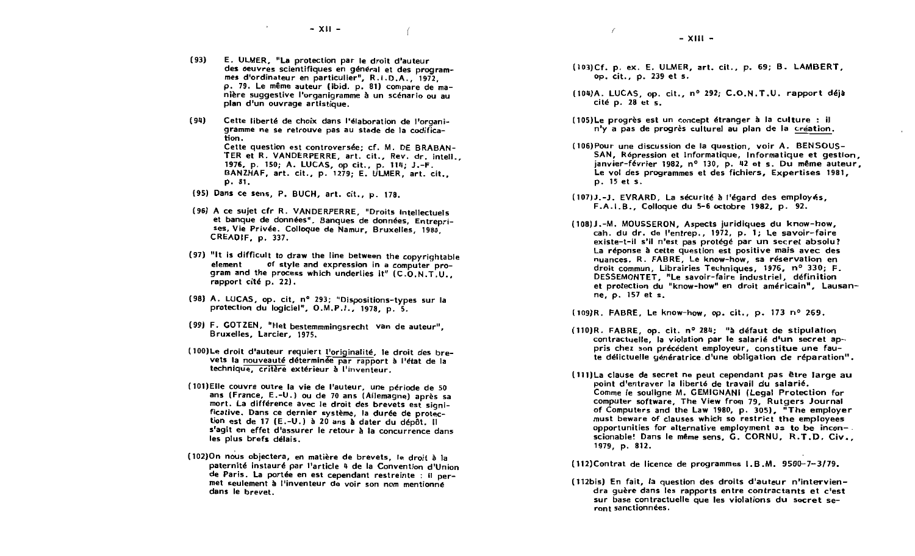- $(93)$ E. ULMER. "La protection par le droit d'auteur des oeuvres scientifiques en général et des programmes d'ordinateur en particulier", R.I.D.A., 1972, p. 79. Le même auteur (ibid. p. 81) compare de manière succestive l'organigramme à un scénario ou au plan d'un ouvrage artistique.
- $(94)$ Cette liberté de choix dans l'élaboration de l'organigramme ne se retrouve pas au stade de la codification. Cette question est controversée: cf. M. DE BRABAN-TER et R. VANDERPERRE, art. cit., Rev. dr. intell.. 1976, p. 150; A. LUCAS, op cit., p. 114: J.-F. BANZHAF, art. cit., p. 1279; E. ULMER, art. cit., p. 81.
- (95) Dans ce sens, P. BUCH, art. cit., p. 178.
- (96) A ce suiet cfr R. VANDERPERRE, "Droits intellectuels et banque de données". Banques de données, Entreprises, Vie Privée. Colloque de Namur. Bruxelles, 1980 CREADIF, p. 337.
- (97) "It is difficult to draw the line between the copyrightable of style and expression in a computer proelement gram and the process which underlies it" (C.O.N.T.U., rapport cité p. 22).
- (98) A. LUCAS, op. cit. nº 293: "Dispositions-types sur la protection du logiciel", O.M.P.I., 1978, p. 5.
- (99) F. GOTZEN, "Het bestemmmingsrecht van de auteur", Bruxelles, Larcier, 1975.
- (100) Le droit d'auteur requiert l'originalité, le droit des brevets la nouveauté déterminée par rapport à l'état de la technique, critère extérieur à l'inventeur.
- (101) Elle couvre outre la vie de l'auteur, une période de 50 ans (France, E.-U.) ou de 70 ans (Allemagne) après sa mort. La différence avec le droit des brevets est significative. Dans ce dernier système, la durée de protection est de 17 (E.-U.) à 20 ans à dater du dépôt. Il s'agit en effet d'assurer le retour à la concurrence dans les plus brefs délais.
- (102) On nous objectera, en matière de brevets, le droit à la paternité instauré par l'article 4 de la Convention d'Union de Paris. La portée en est cependant restreinte ; il permet seulement à l'inventeur de voir son nom mentionné dans le brevet.
- (103)Cf. p. ex. E. ULMER, art. cit., p. 69; B. LAMBERT, op. cit., p. 239 et s.
- (104)A. LUCAS. op. cit., nº 292; C.O.N.T.U. rapport déjà cité p. 28 et s.
- (105) Le progrès est un concept étranger à la culture : il n'y a pas de progrès culturel au plan de la création.
- (106) Pour une discussion de la question, voir A. BENSOUS-SAN. Répression et Informatique. Informatique et gestion. janvier-février 1982. n° 130. p. 42 et s. Du même auteur. Le vol des programmes et des fichiers. Expertises 1981. p. 15 et s.
- (107) J.-J. EVRARD, La sécurité à l'égard des employés, F.A.I.B., Collogue du 5-6 octobre 1982, p. 92.
- (108) J.-M. MOUSSERON. Aspects juridiques du know-how. cah. du dr. de l'entrep., 1972, p. 1; Le savoir-faire existe-t-il s'il n'est pas protégé par un secret absolu? La réponse à cette question est positive mais avec des nuances. R. FABRE. Le know-how, sa réservation en droit commun, Librairies Techniques, 1976, nº 330: F. DESSEMONTET, "Le savoir-faire industriel, définition et protection du "know-how" en droit américain", Lausanne, p. 157 et s.
- (109) R. FABRE, Le know-how, op. cit., p. 173 nº 269.
- $(110)R$ . FABRE, op. cit. n° 284: "à défaut de stipulation contractuelle. la violation par le salarié d'un secret appris chez son précédent employeur, constitue une faute délictuelle génératrice d'une obligation de réparation".
- (111) La clause de secret ne peut cependant pas être large au point d'entraver la liberté de travail du salarié. Comme le souligne M. GEMIGNANI (Legal Protection for computer software, The View from 79, Rutgers Journal of Computers and the Law 1980, p. 305), "The employer must beware of clauses which so restrict the employees opportunities for alternative employment as to be inconscionable! Dans le même sens. G. CORNU. R.T.D. Civ.. 1979. p. 812.

(112) Contrat de licence de programmes I.B.M. 9500-7-3/79.

(112bis) En fait, la question des droits d'auteur n'interviendra quère dans les rapports entre contractants et c'est sur base contractuelle que les violations du secret seront sanctionnées.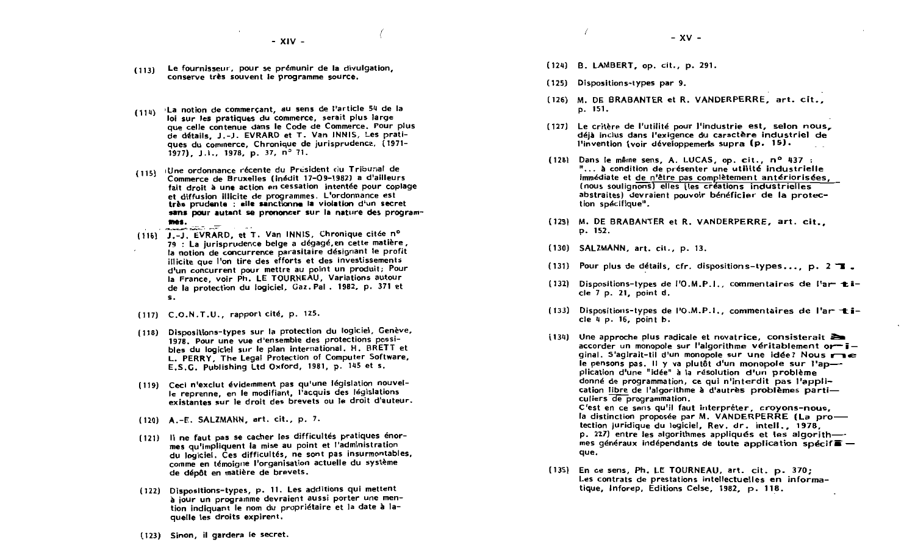- Le fournisseur, pour se prémunir de la divulgation.  $(113)$ conserve très souvent le programme source.
- La notion de commercant, au sens de l'article 54 de la  $(114)$ loi sur les pratiques du commerce, serait plus large que celle contenue dans le Code de Commerce. Pour plus de détails, J.-J. EVRARD et T. Van JNNIS, Les pratiques du commerce. Chronique de jurisprudence, (1971-1977), J.I., 1978, p. 37,  $n^3$  71.
- (Une ordonnance récente du President du Tribunal de  $(115)$ Commerce de Bruxelles (inédit 17-09-1982) a d'ailleurs fait droit à une action en cessation intentée pour copiage et diffusion illicite de programmes. L'ordonnance est très prudente : elle sanctionne la violation d'un secret sans pour autant se prononcer sur la nature des programmes. **ANGEL MAN ANT**
- (116) J.-J. EVRARD, et T. Van INNIS, Chronique citée nº 79 : La jurisprudence belge a dégagé, en cette matière, la notion de concurrence parasitaire désignant le profit illicite que l'on tire des efforts et des investissements d'un concurrent pour mettre au point un produit; Pour la France, voir Ph. LE TOURNEAU, Variations autour de la protection du logiciel, Gaz. Pal. 1982, p. 371 et s.
- (117) C.O.N.T.U., rapport cité, p. 125.
- (118) Dispositions-types sur la protection du logiciel, Genève, 1978. Pour une vue d'ensemble des protections possibles du logiciel sur le plan international. H. BRETT et L. PERRY, The Legal Protection of Computer Software, E.S.G. Publishing Ltd Oxford, 1981, p. 145 et s.
- (119) Ceci n'exclut évidemment pas qu'une législation nouvelle reprenne, en le modifiant, l'acquis des législations existantes sur le droit des brevets ou le droit d'auteur.
- $(120)$  A.-E. SALZMANN, art. cit., p. 7.
- (121) Il ne faut pas se cacher les difficultés pratiques énormes qu'impliquent la mise au point et l'administration du logiciel. Ces difficultés, ne sont pas insurmontables. comme en témoigne l'organisation actuelle du système de dépôt en matière de brevets.
- (122) Dispositions-types, p. 11. Les additions qui mettent à jour un programme devraient aussi porter une mention indiquant le nom du propriétaire et la date à laquelle les droits expirent.
- (124) B. LAMBERT, op. cit., p. 291.
- (125) Dispositions-types par 9.
- (126) M. DE BRABANTER et R. VANDERPERRE, art. cit., p. 151.
- (127) Le critère de l'utilité pour l'industrie est. selon nous. déjà inclus dans l'exigence du caractère industriel de l'invention (voir développements supra (p. 15).
- (128) Dans le même sens, A. LUCAS, op. cit., nº 437 : "... à condition de présenter une utilité industrielle immédiate et de n'être pas complètement antériorisées. (nous soulignons) elles (les créations industrielles abstraites) devraient pouvoir bénéficier de la protection spécifique".
- (129) M. DE BRABANTER et R. VANDERPERRE, art. cit., p. 152.
- (130) SALZMANN, art. cit., p. 13.
- (131) Pour plus de détails, cfr. dispositions-types..., p.  $2 \mathbb{Z}$ .
- (132) Dispositions-types de l'O.M.P.I., commentaires de l'ar ticle 7 p. 21, point d.
- (133) Dispositions-types de  $10.M.P.1.$ , commentaires de l'artiscle 4 p. 16, point b.
- $(134)$  Une approche plus radicale et novatrice, consisterait  $\geq$ accorder un monopole sur l'algorithme véritablement or-iginal. S'agirait-til d'un monopole sur une idée? Nous roue le pensons pas. Il y va plutôt d'un monopole sur l'application d'une "idée" à la résolution d'un problème donné de programmation, ce qui n'interdit pas l'application libre de l'algorithme à d'autrès problèmes particuliers de programmation. C'est en ce sens qu'il faut interpréter, croyons-nous, la distinction proposée par M. VANDERPERRE (La protection juridique du logiciel, Rev. dr. intell., 1978.

p. 227) entre les algorithmes appliqués et les algorithmes généraux indépendants de toute application spécif $\bar{m}$  que.

(135) En ce sens, Ph. LE TOURNEAU, art. cit. p. 370; Les contrats de prestations intellectuelles en informatique, Inforep, Editions Celse, 1982, p. 118.

(123) Sinon, il gardera le secret.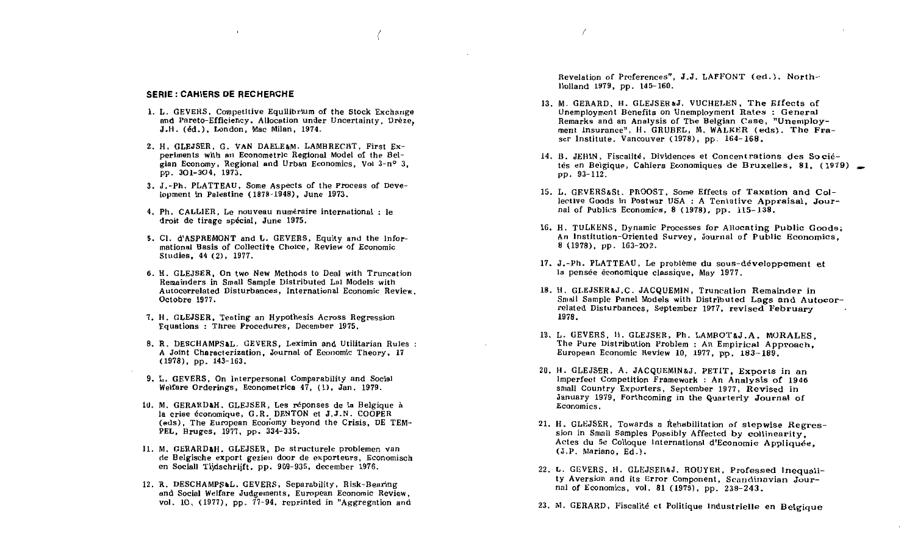#### **SERIE: CAHIERS DE RECHERCHE**

- 1. L. GEVERS, Competitive Equilibrium of the Stock Exchange and Pareto-Efficiency. Allocation under Uncertainty. Drèze. J.H. (éd.), London, Mac Milan, 1974.
- 2. H. GLEJSER. G. VAN DAELE&M. LAMBRECHT. First Experiments with an Econometric Regional Model of the Beleian Economy, Regional and Urban Economics, Vol 3-n° 3. pp. 301-304. 1973.
- 3. J.-Ph. PLATTEAU. Some Aspects of the Process of Development in Palestine  $(1878-1948)$ , June 1973.
- 4. Ph. CALLIER. Le nouveau numéraire international : le droit de tirage spécial, June 1975.
- 5. Cl. d'ASPREMONT and L. GEVERS, Equity and the Informational Basis of Collective Choice, Review of Economic Studies, 44 (2), 1977.
- 6. H. GLEJSER, On two New Methods to Deal with Truncation Remainders in Small Sample Distributed Lal Models with Autocorrelated Disturbances, International Economic Review. Octobre 1977.
- 7. H. GLEJSER, Testing an Hypothesis Across Regression Equations: Three Procedures, December 1975,
- 8. R. DESCHAMPS&L. GEVERS, Leximin and Utilitarian Rules : A Joint Characterization, Journal of Economic Theory, 17  $(1978)$ , pp.  $143-163$ .
- 9. L. GEVERS. On Interpersonal Comparability and Social Welfare Orderings, Econometrica 47, (1), Jan. 1979.
- 10. M. GERARDAH. GLEJSER. Les réponses de la Belgique à la crise économique, G.R. DENTON et J.J.N. COOPER (eds), The European Economy beyond the Crisis, DE TEM-PEL, Bruges, 1977, pp. 334-335.
- 11. M. GERARD&H. GLEJSER, De structurele problemen van de Belgische export gezien door de exporteurs, Economisch en Sociall Tijdschrijft, pp. 909-935, december 1976.
- 12. R. DESCHAMPS&L. GEVERS. Separability, Risk-Bearing and Social Welfare Judgements, European Economic Review. vol. 10,  $(1977)$ , pp.  $77-94$ , reprinted in "Aggregation and

Revelation of Preferences", J.J. LAFFONT (ed.), Northllolland 1979, pp. 145-160.

- 13. M. GERARD. H. GLEJSER&J. VUCHELEN. The Effects of Unemployment Benefits on Unemployment Rates: General Remarks and an Analysis of The Belgian Case, "Unemployment Insurance", H. GRUBEL, M. WALKER (eds), The Fraser Institute. Vancouver (1978), pp. 164-168.
- 14. B. JEHIN, Fiscalité, Dividences et Concentrations des Sociétés en Belgique. Cahiers Economiques de Bruxelles, 81, (1979) pp. 93-112.
- 15. L. GEVERS&St. PROOST, Some Effects of Taxation and Collective Goods in Postwar USA : A Tentative Appraisal. Journal of Publics Economics,  $8(1978)$ , pp.  $115-138$ .
- 16. H. TULKENS, Dynamic Processes for Allocating Public Goods: An Institution-Oriented Survey, Journal of Public Economics.  $8(1978)$ , pp.  $163-202$ .
- 17. J.-Ph. PLATTEAU, Le problème du sous-développement et la pensée économique classique. May 1977.
- 18. H. GLEJSER&J.C. JACQUEMIN, Truncation Remainder in Small Sample Panel Models with Distributed Lags and Autocorrelated Disturbances, September 1977, revised February 1978.
- 19. L. GEVERS, H. GLEJSER, Ph. LAMBOT&J.A. MORALES. The Pure Distribution Problem : An Empirical Approach. European Economic Review 10, 1977, pp. 183-189.
- 20. H. GLEJSER, A. JACQUEMIN&J. PETIT, Exports in an Imperfect Competition Framework: An Analysis of 1946 small Country Exporters, September 1977. Revised in January 1979, Forthcoming in the Quarterly Journal of Economics.
- 21. H. GLEJSER, Towards a Rehabilitation of stepwise Regression in Small Samples Possibly Affected by collinearity. Actes du 5e Colloque International d'Economie Appliquée.  $(J.P.$  Mariano,  $Ed.$ ).
- 22. L. GEVERS, H. GLEJSER&J. ROUYER. Professed Inequality Aversion and its Error Component, Scandinavian Journal of Economics, vol. 81 (1979), pp. 238-243.
- 23. M. GERARD, Fiscalité et Politique Industrielle en Belgique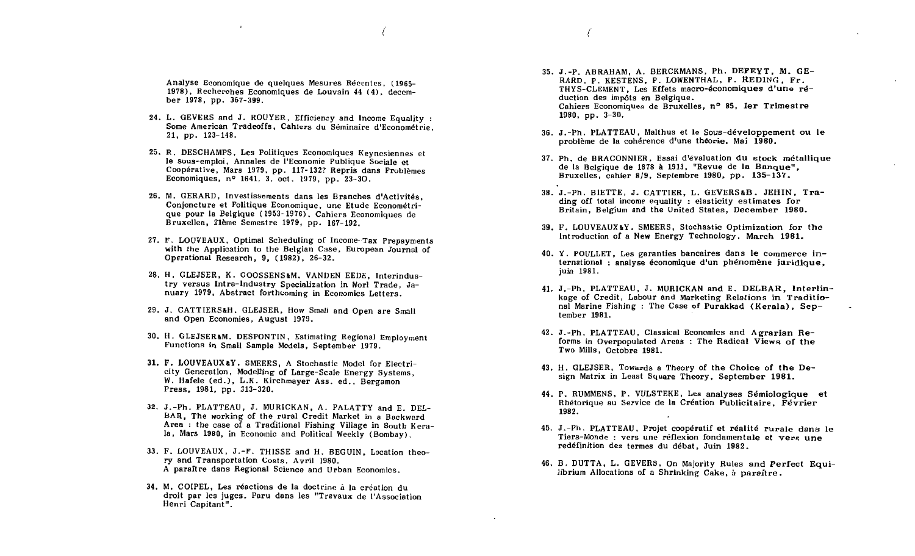Analyse Economique de quelques Mesures Récentes. (1965-1978), Recherches Economiques de Louvain 44 (4), december 1978, pp. 367-399.

- 24. L. GEVERS and J. ROUYER, Efficiency and Income Equality : Some American Tradeoffs, Cahiers du Séminaire d'Econométrie.  $21.$  pp.  $123-148.$
- 25. R. DESCHAMPS, Les Politiques Economiques Keynesiennes et le sous-emploi, Annales de l'Economie Publique Sociale et Coopérative, Mars 1979, pp. 117-132? Repris dans Problèmes Economiques. nº 1641, 3. oct. 1979, pp. 23-30.
- 26. M. GERARD, Investissements dans les Branches d'Activités. Conjoncture et Politique Economique, une Etude Econométrique pour la Belgique (1953-1976), Cahiers Economiques de Bruxellea, 21ème Semestre 1979, pp. 167-192.
- 27. F. LOUVEAUX, Optimal Scheduling of Income-Tax Prepayments with the Application to the Belgian Case. European Journal of Operational Research, 9, (1982), 26-32.
- 28. H. GLEJSER, K. GOOSSENS&M. VANDEN EEDE. Interindustrv versus Intra-Industry Specialization in Worl Trade, January 1979, Abstract forthcoming in Economics Letters.
- 29. J. CATTIERS&H. GLEJSER, How Small and Open are Small and Open Economies, August 1979.
- 30. H. GLEJSER&M. DESPONTIN, Estimating Regional Employment Functions in Small Sample Models, September 1979.
- 31. F. LOUVEAUX&Y. SMEERS. A Stochastic Model for Electricity Generation, Modelling of Large-Scale Energy Systems. W. Hafele (ed.), L.K. Kirchmayer Ass. ed., Bergamon Press, 1981, pp. 313-320.
- 32. J.-Ph. PLATTEAU, J. MURICKAN, A. PALATTY and E. DEL-BAR. The working of the rural Credit Market in a Backward Area : the case of a Traditional Fishing Village in South Kerala. Mars 1980, in Economic and Political Weekly (Bombay).
- 33. F. LOUVEAUX, J.-F. THISSE and H. BEGUIN, Location theory and Transportation Costs. Avril 1980. A paraître dans Regional Science and Urban Economics.
- 34. M. COIPEL. Les réactions de la doctrine à la création du droit par les juges. Paru dans les "Travaux de l'Association Henri Capitant".
- 35. J.-P. ABRAHAM, A. BERCKMANS, Ph. DEFEYT, M. GE-RARD, P. KESTENS, P. LOWENTHAL, P. REDING, Fr. THYS-CLEMENT, Les Effets macro-économiques d'une réduction des impôts en Belgique. Cahiers Economiques de Bruxelles, n° 85. 1er Trimestre  $1980, pp. 3-30.$
- 36. J.-Ph. PLATTEAU, Malthus et le Sous-développement ou le problème de la cohérence d'une théorie. Mai 1980.
- 37. Ph. de BRACONNIER, Essai d'évaluation du stock métallique de la Belgique de 1878 à 1913, "Revue de la Banque", Bruxelles, cahier 8/9, Septembre 1980, pp. 135-137.
- 38. J.-Ph. BIETTE, J. CATTIER, L. GEVERS&B. JEHIN. Trading off total income equality: elasticity estimates for Britain, Belgium and the United States, December 1980.
- 39. F. LOUVEAUX&Y. SMEERS. Stochastic Optimization for the Introduction of a New Energy Technology, March 1981.
- 40. Y. POULLET, Les garanties bancaires dans le commerce international : analyse économique d'un phénomène juridique, juin 1981.
- 41. J.-Ph. PLATTEAU, J. MURICKAN and E. DELBAR. Interlinkage of Credit, Labour and Marketing Relations in Traditional Marine Fishing: The Case of Purakkad (Kerala), September 1981.
- 42. J.-Ph. PLATTEAU, Classical Economics and Agrarian Reforms in Overpopulated Areas : The Radical Views of the Two Mills, Octobre 1981.
- 43. H. GLEJSER, Towards a Theory of the Choice of the Design Matrix in Least Square Theory, September 1981.
- 44. P. RUMMENS, P. VULSTEKE, Les analyses Sémiologique et Rhétorique au Service de la Création Publicitaire. Février 1982.
- 45. J.-Ph. PLATTEAU, Projet coopératif et réalité rurale dans le Tiers-Monde : vers une réflexion fondamentale et vers une redéfinition des termes du débat. Juin 1982.
- 46. B. DUTTA, L. GEVERS, On Majority Rules and Perfect Equilibrium Allocations of a Shrinking Cake, a paraftre